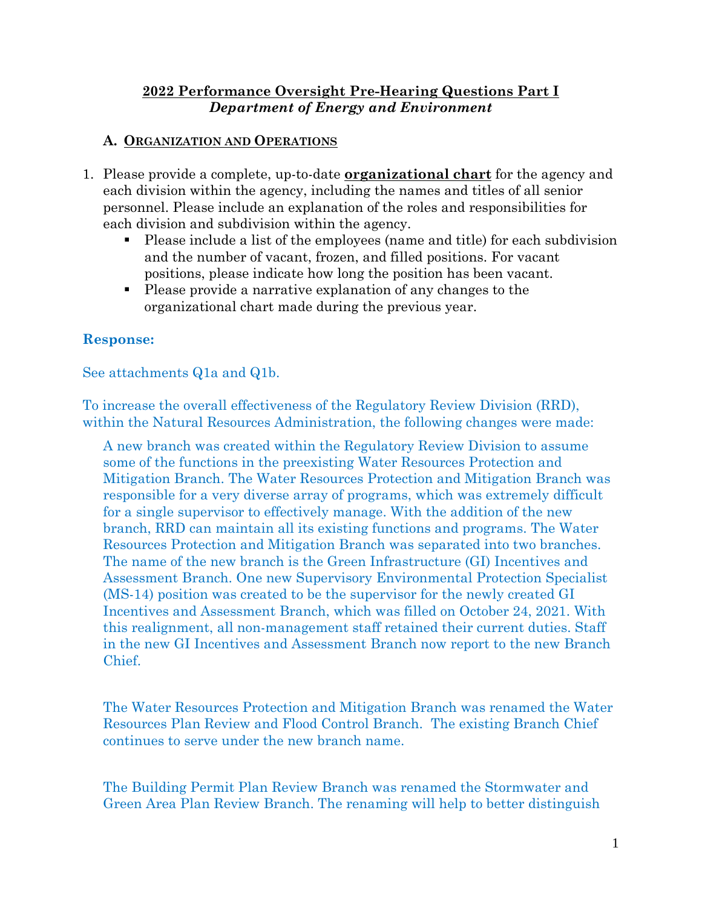## **2022 Performance Oversight Pre-Hearing Questions Part I** *Department of Energy and Environment*

#### **A. ORGANIZATION AND OPERATIONS**

- 1. Please provide a complete, up-to-date **organizational chart** for the agency and each division within the agency, including the names and titles of all senior personnel. Please include an explanation of the roles and responsibilities for each division and subdivision within the agency.
	- Please include a list of the employees (name and title) for each subdivision and the number of vacant, frozen, and filled positions. For vacant positions, please indicate how long the position has been vacant.
	- Please provide a narrative explanation of any changes to the organizational chart made during the previous year.

## **Response:**

See attachments Q1a and Q1b.

To increase the overall effectiveness of the Regulatory Review Division (RRD), within the Natural Resources Administration, the following changes were made:

A new branch was created within the Regulatory Review Division to assume some of the functions in the preexisting Water Resources Protection and Mitigation Branch. The Water Resources Protection and Mitigation Branch was responsible for a very diverse array of programs, which was extremely difficult for a single supervisor to effectively manage. With the addition of the new branch, RRD can maintain all its existing functions and programs. The Water Resources Protection and Mitigation Branch was separated into two branches. The name of the new branch is the Green Infrastructure (GI) Incentives and Assessment Branch. One new Supervisory Environmental Protection Specialist (MS-14) position was created to be the supervisor for the newly created GI Incentives and Assessment Branch, which was filled on October 24, 2021. With this realignment, all non-management staff retained their current duties. Staff in the new GI Incentives and Assessment Branch now report to the new Branch Chief.

The Water Resources Protection and Mitigation Branch was renamed the Water Resources Plan Review and Flood Control Branch. The existing Branch Chief continues to serve under the new branch name.

The Building Permit Plan Review Branch was renamed the Stormwater and Green Area Plan Review Branch. The renaming will help to better distinguish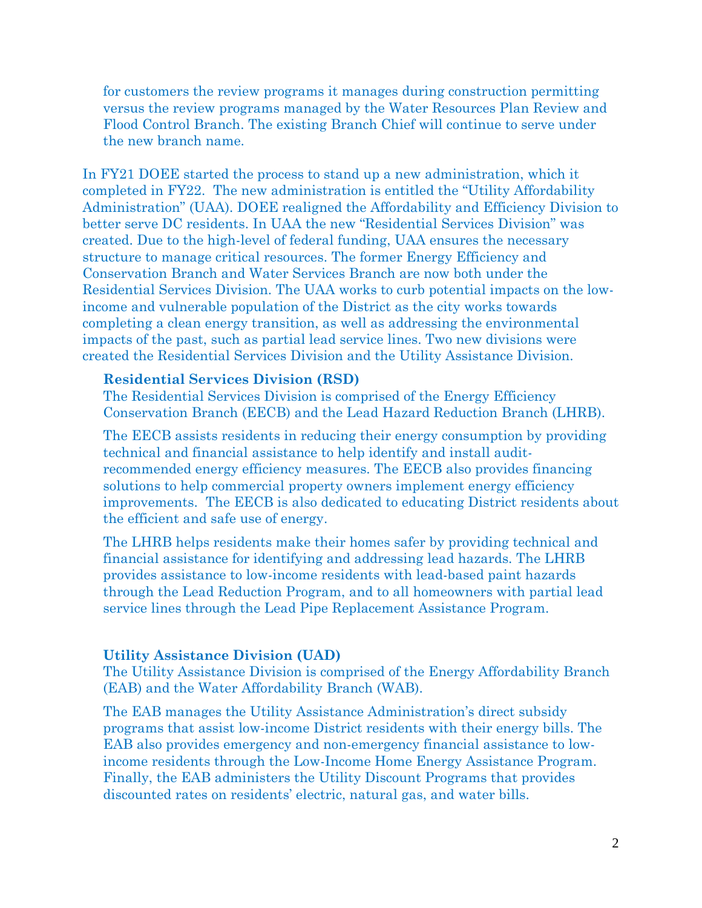for customers the review programs it manages during construction permitting versus the review programs managed by the Water Resources Plan Review and Flood Control Branch. The existing Branch Chief will continue to serve under the new branch name.

In FY21 DOEE started the process to stand up a new administration, which it completed in FY22. The new administration is entitled the "Utility Affordability Administration" (UAA). DOEE realigned the Affordability and Efficiency Division to better serve DC residents. In UAA the new "Residential Services Division" was created. Due to the high-level of federal funding, UAA ensures the necessary structure to manage critical resources. The former Energy Efficiency and Conservation Branch and Water Services Branch are now both under the Residential Services Division. The UAA works to curb potential impacts on the lowincome and vulnerable population of the District as the city works towards completing a clean energy transition, as well as addressing the environmental impacts of the past, such as partial lead service lines. Two new divisions were created the Residential Services Division and the Utility Assistance Division.

#### **Residential Services Division (RSD)**

The Residential Services Division is comprised of the Energy Efficiency Conservation Branch (EECB) and the Lead Hazard Reduction Branch (LHRB).

The EECB assists residents in reducing their energy consumption by providing technical and financial assistance to help identify and install auditrecommended energy efficiency measures. The EECB also provides financing solutions to help commercial property owners implement energy efficiency improvements. The EECB is also dedicated to educating District residents about the efficient and safe use of energy.

The LHRB helps residents make their homes safer by providing technical and financial assistance for identifying and addressing lead hazards. The LHRB provides assistance to low-income residents with lead-based paint hazards through the Lead Reduction Program, and to all homeowners with partial lead service lines through the Lead Pipe Replacement Assistance Program.

#### **Utility Assistance Division (UAD)**

The Utility Assistance Division is comprised of the Energy Affordability Branch (EAB) and the Water Affordability Branch (WAB).

The EAB manages the Utility Assistance Administration's direct subsidy programs that assist low-income District residents with their energy bills. The EAB also provides emergency and non-emergency financial assistance to lowincome residents through the Low-Income Home Energy Assistance Program. Finally, the EAB administers the Utility Discount Programs that provides discounted rates on residents' electric, natural gas, and water bills.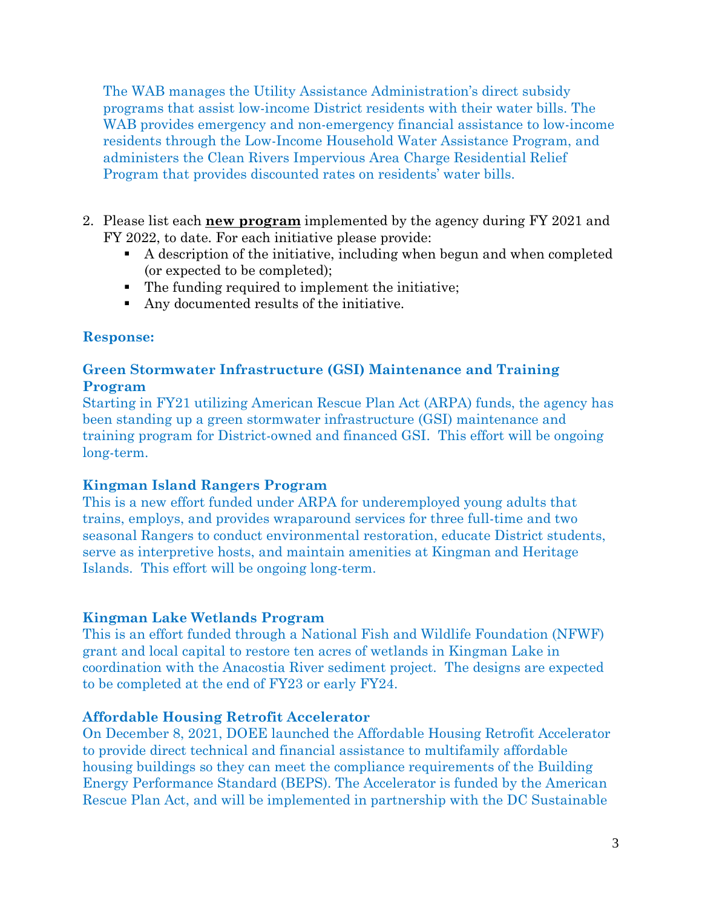The WAB manages the Utility Assistance Administration's direct subsidy programs that assist low-income District residents with their water bills. The WAB provides emergency and non-emergency financial assistance to low-income residents through the Low-Income Household Water Assistance Program, and administers the Clean Rivers Impervious Area Charge Residential Relief Program that provides discounted rates on residents' water bills.

- 2. Please list each **new program** implemented by the agency during FY 2021 and FY 2022, to date. For each initiative please provide:
	- A description of the initiative, including when begun and when completed (or expected to be completed);
	- The funding required to implement the initiative;
	- Any documented results of the initiative.

#### **Response:**

#### **Green Stormwater Infrastructure (GSI) Maintenance and Training Program**

Starting in FY21 utilizing American Rescue Plan Act (ARPA) funds, the agency has been standing up a green stormwater infrastructure (GSI) maintenance and training program for District-owned and financed GSI. This effort will be ongoing long-term.

#### **Kingman Island Rangers Program**

This is a new effort funded under ARPA for underemployed young adults that trains, employs, and provides wraparound services for three full-time and two seasonal Rangers to conduct environmental restoration, educate District students, serve as interpretive hosts, and maintain amenities at Kingman and Heritage Islands. This effort will be ongoing long-term.

## **Kingman Lake Wetlands Program**

This is an effort funded through a National Fish and Wildlife Foundation (NFWF) grant and local capital to restore ten acres of wetlands in Kingman Lake in coordination with the Anacostia River sediment project. The designs are expected to be completed at the end of FY23 or early FY24.

#### **Affordable Housing Retrofit Accelerator**

On December 8, 2021, DOEE launched the Affordable Housing Retrofit Accelerator to provide direct technical and financial assistance to multifamily affordable housing buildings so they can meet the compliance requirements of the Building Energy Performance Standard (BEPS). The Accelerator is funded by the American Rescue Plan Act, and will be implemented in partnership with the DC Sustainable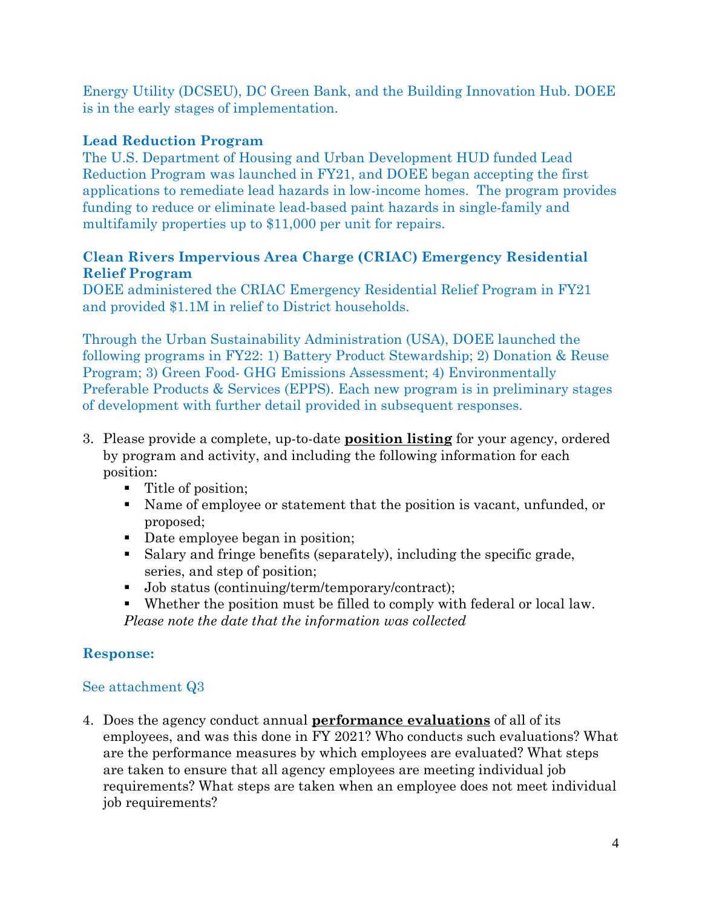Energy Utility (DCSEU), DC Green Bank, and the Building Innovation Hub. DOEE is in the early stages of implementation.

# **Lead Reduction Program**

The U.S. Department of Housing and Urban Development HUD funded Lead Reduction Program was launched in FY21, and DOEE began accepting the first applications to remediate lead hazards in low-income homes. The program provides funding to reduce or eliminate lead-based paint hazards in single-family and multifamily properties up to \$11,000 per unit for repairs.

## **Clean Rivers Impervious Area Charge (CRIAC) Emergency Residential Relief Program**

DOEE administered the CRIAC Emergency Residential Relief Program in FY21 and provided \$1.1M in relief to District households.

Through the Urban Sustainability Administration (USA), DOEE launched the following programs in FY22: 1) Battery Product Stewardship; 2) Donation & Reuse Program; 3) Green Food- GHG Emissions Assessment; 4) Environmentally Preferable Products & Services (EPPS). Each new program is in preliminary stages of development with further detail provided in subsequent responses.

- 3. Please provide a complete, up-to-date **position listing** for your agency, ordered by program and activity, and including the following information for each position:
	- Title of position;
	- Name of employee or statement that the position is vacant, unfunded, or proposed;
	- Date employee began in position;
	- Salary and fringe benefits (separately), including the specific grade, series, and step of position;
	- Job status (continuing/term/temporary/contract);
	- Whether the position must be filled to comply with federal or local law. *Please note the date that the information was collected*

# **Response:**

## See attachment Q3

4. Does the agency conduct annual **performance evaluations** of all of its employees, and was this done in FY 2021? Who conducts such evaluations? What are the performance measures by which employees are evaluated? What steps are taken to ensure that all agency employees are meeting individual job requirements? What steps are taken when an employee does not meet individual job requirements?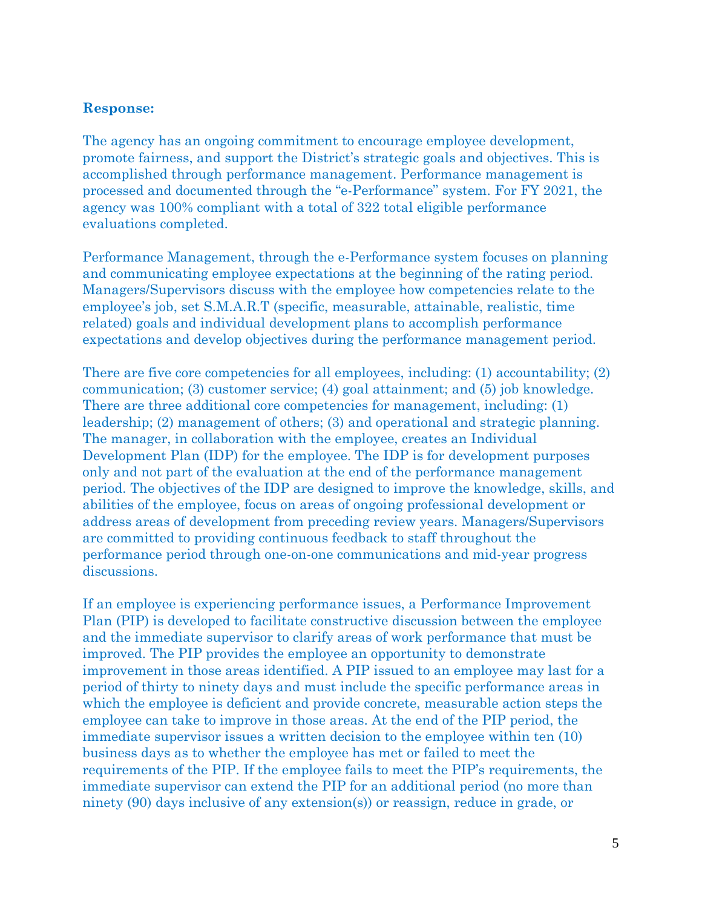The agency has an ongoing commitment to encourage employee development, promote fairness, and support the District's strategic goals and objectives. This is accomplished through performance management. Performance management is processed and documented through the "e-Performance" system. For FY 2021, the agency was 100% compliant with a total of 322 total eligible performance evaluations completed.

Performance Management, through the e-Performance system focuses on planning and communicating employee expectations at the beginning of the rating period. Managers/Supervisors discuss with the employee how competencies relate to the employee's job, set S.M.A.R.T (specific, measurable, attainable, realistic, time related) goals and individual development plans to accomplish performance expectations and develop objectives during the performance management period.

There are five core competencies for all employees, including: (1) accountability; (2) communication; (3) customer service; (4) goal attainment; and (5) job knowledge. There are three additional core competencies for management, including: (1) leadership; (2) management of others; (3) and operational and strategic planning. The manager, in collaboration with the employee, creates an Individual Development Plan (IDP) for the employee. The IDP is for development purposes only and not part of the evaluation at the end of the performance management period. The objectives of the IDP are designed to improve the knowledge, skills, and abilities of the employee, focus on areas of ongoing professional development or address areas of development from preceding review years. Managers/Supervisors are committed to providing continuous feedback to staff throughout the performance period through one-on-one communications and mid-year progress discussions.

If an employee is experiencing performance issues, a Performance Improvement Plan (PIP) is developed to facilitate constructive discussion between the employee and the immediate supervisor to clarify areas of work performance that must be improved. The PIP provides the employee an opportunity to demonstrate improvement in those areas identified. A PIP issued to an employee may last for a period of thirty to ninety days and must include the specific performance areas in which the employee is deficient and provide concrete, measurable action steps the employee can take to improve in those areas. At the end of the PIP period, the immediate supervisor issues a written decision to the employee within ten (10) business days as to whether the employee has met or failed to meet the requirements of the PIP. If the employee fails to meet the PIP's requirements, the immediate supervisor can extend the PIP for an additional period (no more than ninety (90) days inclusive of any extension(s)) or reassign, reduce in grade, or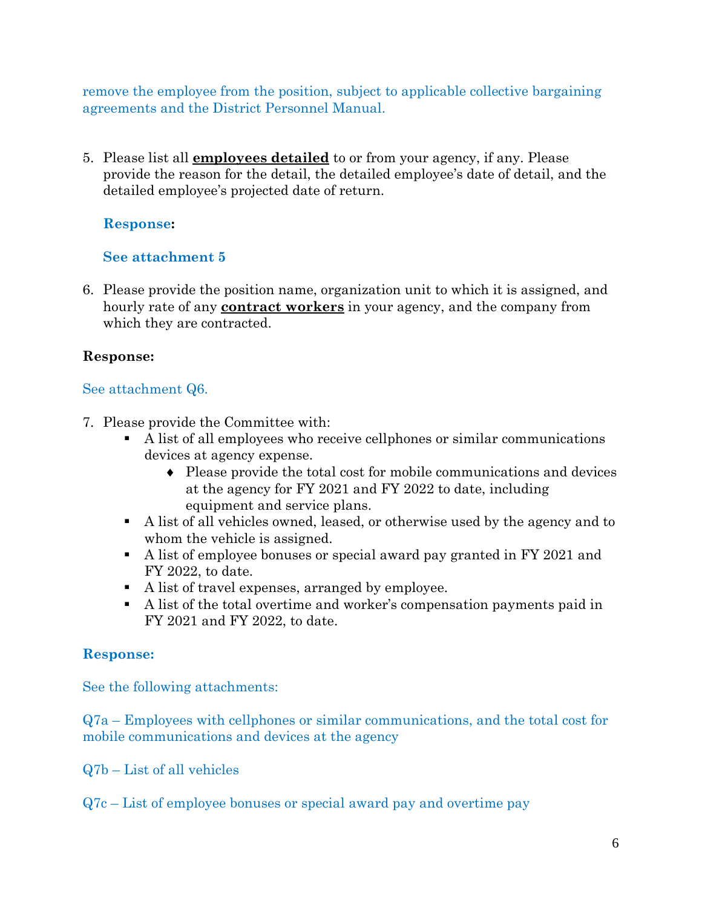remove the employee from the position, subject to applicable collective bargaining agreements and the District Personnel Manual.

5. Please list all **employees detailed** to or from your agency, if any. Please provide the reason for the detail, the detailed employee's date of detail, and the detailed employee's projected date of return.

## **Response:**

## **See attachment 5**

6. Please provide the position name, organization unit to which it is assigned, and hourly rate of any **contract workers** in your agency, and the company from which they are contracted.

## **Response:**

## See attachment Q6.

- 7. Please provide the Committee with:
	- A list of all employees who receive cellphones or similar communications devices at agency expense.
		- ♦ Please provide the total cost for mobile communications and devices at the agency for FY 2021 and FY 2022 to date, including equipment and service plans.
	- A list of all vehicles owned, leased, or otherwise used by the agency and to whom the vehicle is assigned.
	- A list of employee bonuses or special award pay granted in FY 2021 and FY 2022, to date.
	- A list of travel expenses, arranged by employee.
	- A list of the total overtime and worker's compensation payments paid in FY 2021 and FY 2022, to date.

# **Response:**

See the following attachments:

Q7a – Employees with cellphones or similar communications, and the total cost for mobile communications and devices at the agency

Q7b – List of all vehicles

Q7c – List of employee bonuses or special award pay and overtime pay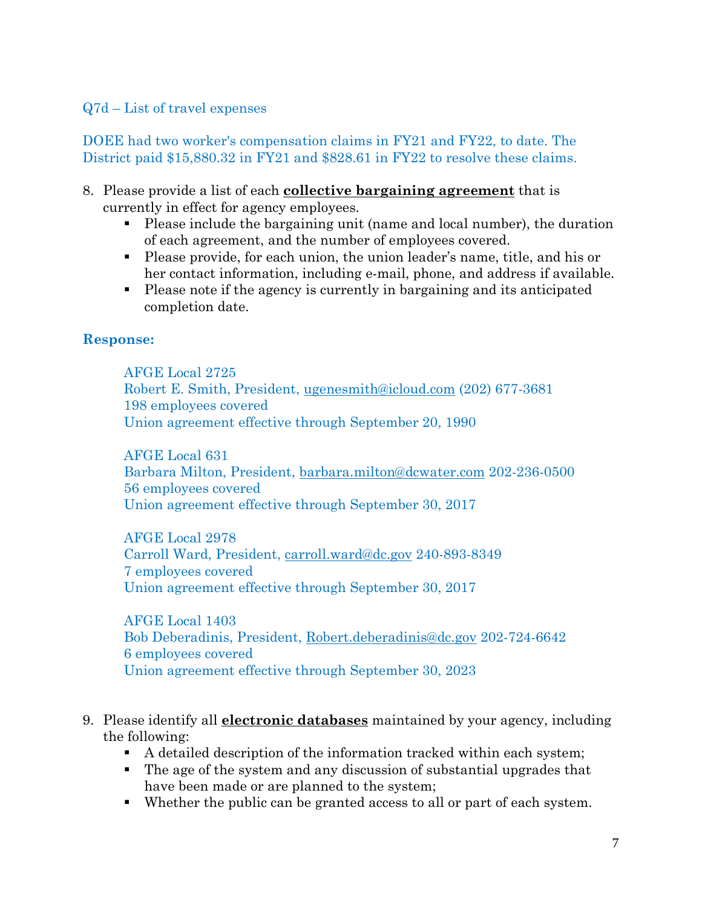## Q7d – List of travel expenses

DOEE had two worker's compensation claims in FY21 and FY22, to date. The District paid \$15,880.32 in FY21 and \$828.61 in FY22 to resolve these claims.

- 8. Please provide a list of each **collective bargaining agreement** that is currently in effect for agency employees.
	- Please include the bargaining unit (name and local number), the duration of each agreement, and the number of employees covered.
	- Please provide, for each union, the union leader's name, title, and his or her contact information, including e-mail, phone, and address if available.
	- Please note if the agency is currently in bargaining and its anticipated completion date.

#### **Response:**

AFGE Local 2725 Robert E. Smith, President, [ugenesmith@icloud.com](mailto:ugenesmith@icloud.com) (202) 677-3681 198 employees covered Union agreement effective through September 20, 1990

AFGE Local 631 Barbara Milton, President, [barbara.milton@dcwater.com](mailto:barbara.milton@dcwater.com) 202-236-0500 56 employees covered Union agreement effective through September 30, 2017

AFGE Local 2978 Carroll Ward, President, [carroll.ward@dc.gov](mailto:carroll.ward@dc.gov) 240-893-8349 7 employees covered Union agreement effective through September 30, 2017

AFGE Local 1403 Bob Deberadinis, President, [Robert.deberadinis@dc.gov](mailto:Robert.deberadinis@dc.gov) 202-724-6642 6 employees covered Union agreement effective through September 30, 2023

- 9. Please identify all **electronic databases** maintained by your agency, including the following:
	- A detailed description of the information tracked within each system;
	- The age of the system and any discussion of substantial upgrades that have been made or are planned to the system;
	- Whether the public can be granted access to all or part of each system.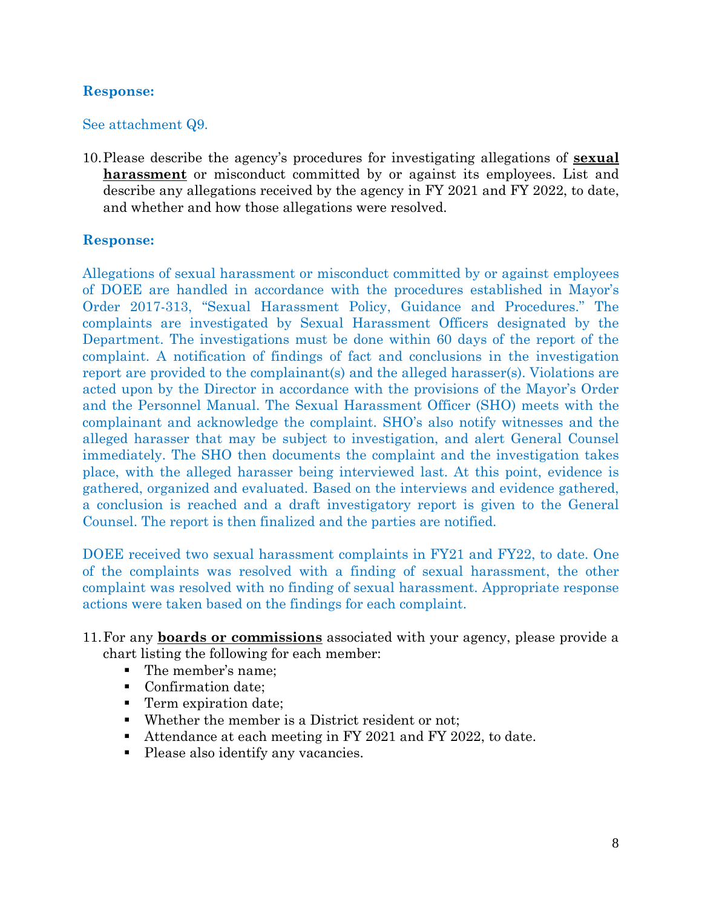#### See attachment Q9.

10.Please describe the agency's procedures for investigating allegations of **sexual harassment** or misconduct committed by or against its employees. List and describe any allegations received by the agency in FY 2021 and FY 2022, to date, and whether and how those allegations were resolved.

#### **Response:**

Allegations of sexual harassment or misconduct committed by or against employees of DOEE are handled in accordance with the procedures established in Mayor's Order 2017-313, "Sexual Harassment Policy, Guidance and Procedures." The complaints are investigated by Sexual Harassment Officers designated by the Department. The investigations must be done within 60 days of the report of the complaint. A notification of findings of fact and conclusions in the investigation report are provided to the complainant(s) and the alleged harasser(s). Violations are acted upon by the Director in accordance with the provisions of the Mayor's Order and the Personnel Manual. The Sexual Harassment Officer (SHO) meets with the complainant and acknowledge the complaint. SHO's also notify witnesses and the alleged harasser that may be subject to investigation, and alert General Counsel immediately. The SHO then documents the complaint and the investigation takes place, with the alleged harasser being interviewed last. At this point, evidence is gathered, organized and evaluated. Based on the interviews and evidence gathered, a conclusion is reached and a draft investigatory report is given to the General Counsel. The report is then finalized and the parties are notified.

DOEE received two sexual harassment complaints in FY21 and FY22, to date. One of the complaints was resolved with a finding of sexual harassment, the other complaint was resolved with no finding of sexual harassment. Appropriate response actions were taken based on the findings for each complaint.

- 11.For any **boards or commissions** associated with your agency, please provide a chart listing the following for each member:
	- The member's name;
	- **Confirmation date;**
	- **Term expiration date;**
	- Whether the member is a District resident or not;
	- Attendance at each meeting in FY 2021 and FY 2022, to date.
	- Please also identify any vacancies.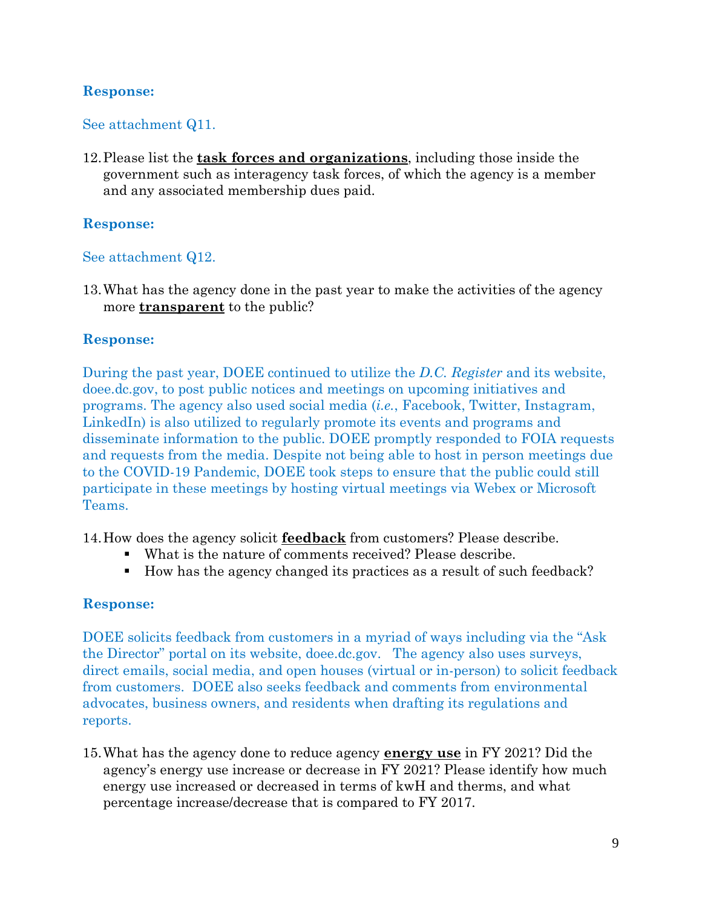#### See attachment Q11.

12.Please list the **task forces and organizations**, including those inside the government such as interagency task forces, of which the agency is a member and any associated membership dues paid.

#### **Response:**

#### See attachment Q12.

13.What has the agency done in the past year to make the activities of the agency more **transparent** to the public?

#### **Response:**

During the past year, DOEE continued to utilize the *D.C. Register* and its website, doee.dc.gov, to post public notices and meetings on upcoming initiatives and programs. The agency also used social media (*i.e.*, Facebook, Twitter, Instagram, LinkedIn) is also utilized to regularly promote its events and programs and disseminate information to the public. DOEE promptly responded to FOIA requests and requests from the media. Despite not being able to host in person meetings due to the COVID-19 Pandemic, DOEE took steps to ensure that the public could still participate in these meetings by hosting virtual meetings via Webex or Microsoft Teams.

14.How does the agency solicit **feedback** from customers? Please describe.

- What is the nature of comments received? Please describe.
- How has the agency changed its practices as a result of such feedback?

#### **Response:**

DOEE solicits feedback from customers in a myriad of ways including via the "Ask the Director" portal on its website, doee.dc.gov. The agency also uses surveys, direct emails, social media, and open houses (virtual or in-person) to solicit feedback from customers. DOEE also seeks feedback and comments from environmental advocates, business owners, and residents when drafting its regulations and reports.

15.What has the agency done to reduce agency **energy use** in FY 2021? Did the agency's energy use increase or decrease in FY 2021? Please identify how much energy use increased or decreased in terms of kwH and therms, and what percentage increase/decrease that is compared to FY 2017.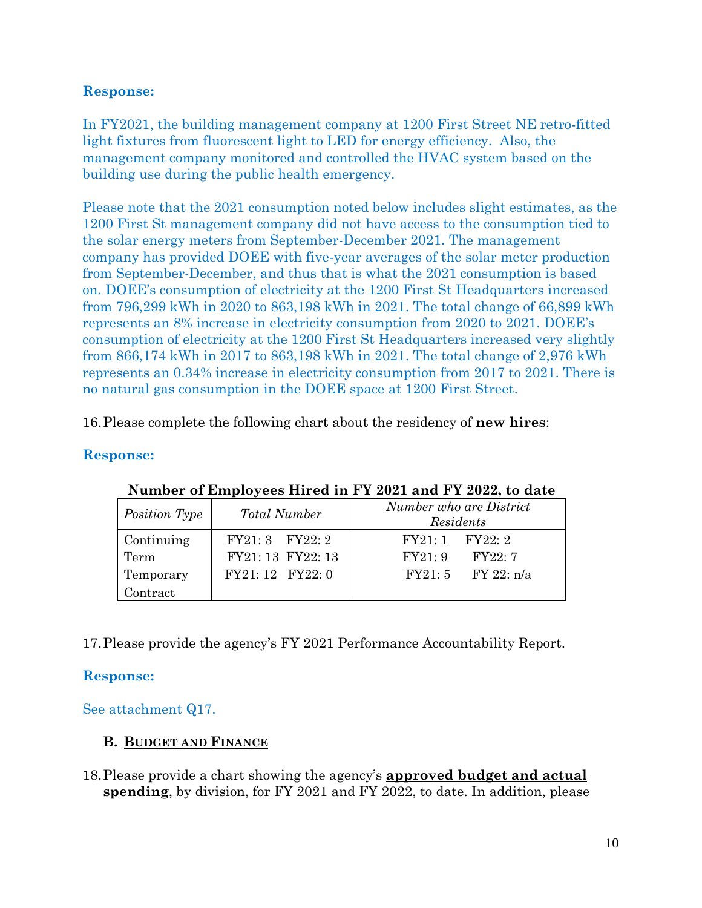In FY2021, the building management company at 1200 First Street NE retro-fitted light fixtures from fluorescent light to LED for energy efficiency. Also, the management company monitored and controlled the HVAC system based on the building use during the public health emergency.

Please note that the 2021 consumption noted below includes slight estimates, as the 1200 First St management company did not have access to the consumption tied to the solar energy meters from September-December 2021. The management company has provided DOEE with five-year averages of the solar meter production from September-December, and thus that is what the 2021 consumption is based on. DOEE's consumption of electricity at the 1200 First St Headquarters increased from 796,299 kWh in 2020 to 863,198 kWh in 2021. The total change of 66,899 kWh represents an 8% increase in electricity consumption from 2020 to 2021. DOEE's consumption of electricity at the 1200 First St Headquarters increased very slightly from 866,174 kWh in 2017 to 863,198 kWh in 2021. The total change of 2,976 kWh represents an 0.34% increase in electricity consumption from 2017 to 2021. There is no natural gas consumption in the DOEE space at 1200 First Street.

16.Please complete the following chart about the residency of **new hires**:

## **Response:**

| Position Type                   | <b>Total Number</b>                                      | Number who are District<br>Residents                          |  |  |  |
|---------------------------------|----------------------------------------------------------|---------------------------------------------------------------|--|--|--|
| Continuing<br>Term<br>Temporary | FY21: 3 FY22: 2<br>FY21: 13 FY22: 13<br>FY21: 12 FY22: 0 | $FY21:1$ $FY22:2$<br>FY21:9<br>FY22:7<br>$FY21:5$ $FY22: n/a$ |  |  |  |
| Contract                        |                                                          |                                                               |  |  |  |

#### **Number of Employees Hired in FY 2021 and FY 2022, to date**

17.Please provide the agency's FY 2021 Performance Accountability Report.

## **Response:**

See attachment Q17.

## **B. BUDGET AND FINANCE**

18.Please provide a chart showing the agency's **approved budget and actual spending**, by division, for FY 2021 and FY 2022, to date. In addition, please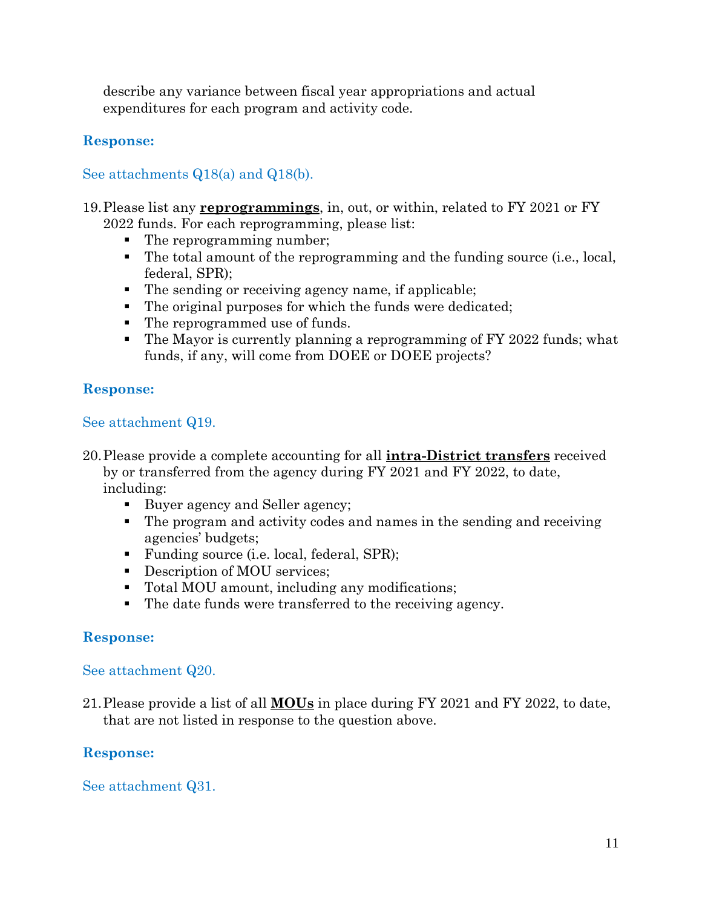describe any variance between fiscal year appropriations and actual expenditures for each program and activity code.

# **Response:**

## See attachments Q18(a) and Q18(b).

# 19.Please list any **reprogrammings**, in, out, or within, related to FY 2021 or FY

- 2022 funds. For each reprogramming, please list:
	- The reprogramming number;
	- The total amount of the reprogramming and the funding source (i.e., local, federal, SPR);
	- The sending or receiving agency name, if applicable;
	- The original purposes for which the funds were dedicated;
	- The reprogrammed use of funds.
	- The Mayor is currently planning a reprogramming of FY 2022 funds; what funds, if any, will come from DOEE or DOEE projects?

## **Response:**

#### See attachment Q19.

- 20.Please provide a complete accounting for all **intra-District transfers** received by or transferred from the agency during FY 2021 and FY 2022, to date, including:
	- Buyer agency and Seller agency;
	- The program and activity codes and names in the sending and receiving agencies' budgets;
	- Funding source (i.e. local, federal, SPR);
	- Description of MOU services;
	- Total MOU amount, including any modifications;
	- The date funds were transferred to the receiving agency.

## **Response:**

## See attachment Q20.

21.Please provide a list of all **MOUs** in place during FY 2021 and FY 2022, to date, that are not listed in response to the question above.

## **Response:**

## See attachment Q31.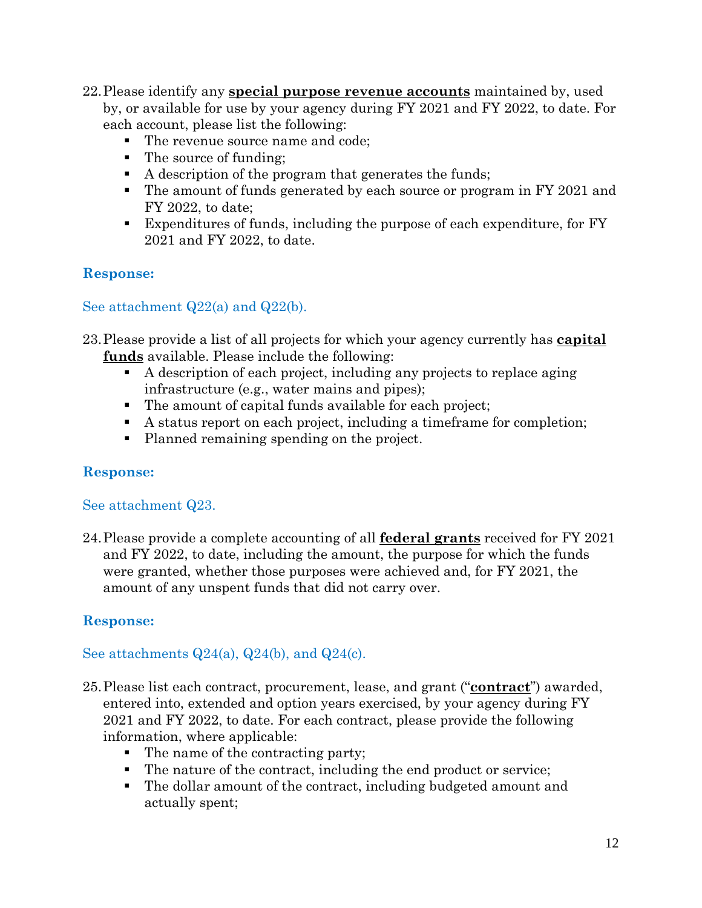- 22.Please identify any **special purpose revenue accounts** maintained by, used by, or available for use by your agency during FY 2021 and FY 2022, to date. For each account, please list the following:
	- The revenue source name and code;
	- The source of funding;
	- A description of the program that generates the funds;
	- The amount of funds generated by each source or program in FY 2021 and FY 2022, to date;
	- Expenditures of funds, including the purpose of each expenditure, for FY 2021 and FY 2022, to date.

# See attachment Q22(a) and Q22(b).

- 23.Please provide a list of all projects for which your agency currently has **capital funds** available. Please include the following:
	- A description of each project, including any projects to replace aging infrastructure (e.g., water mains and pipes);
	- The amount of capital funds available for each project;
	- A status report on each project, including a timeframe for completion;
	- Planned remaining spending on the project.

# **Response:**

## See attachment Q23.

24.Please provide a complete accounting of all **federal grants** received for FY 2021 and FY 2022, to date, including the amount, the purpose for which the funds were granted, whether those purposes were achieved and, for FY 2021, the amount of any unspent funds that did not carry over.

# **Response:**

# See attachments  $Q24(a)$ ,  $Q24(b)$ , and  $Q24(c)$ .

- 25.Please list each contract, procurement, lease, and grant ("**contract**") awarded, entered into, extended and option years exercised, by your agency during FY 2021 and FY 2022, to date. For each contract, please provide the following information, where applicable:
	- The name of the contracting party;
	- The nature of the contract, including the end product or service;
	- The dollar amount of the contract, including budgeted amount and actually spent;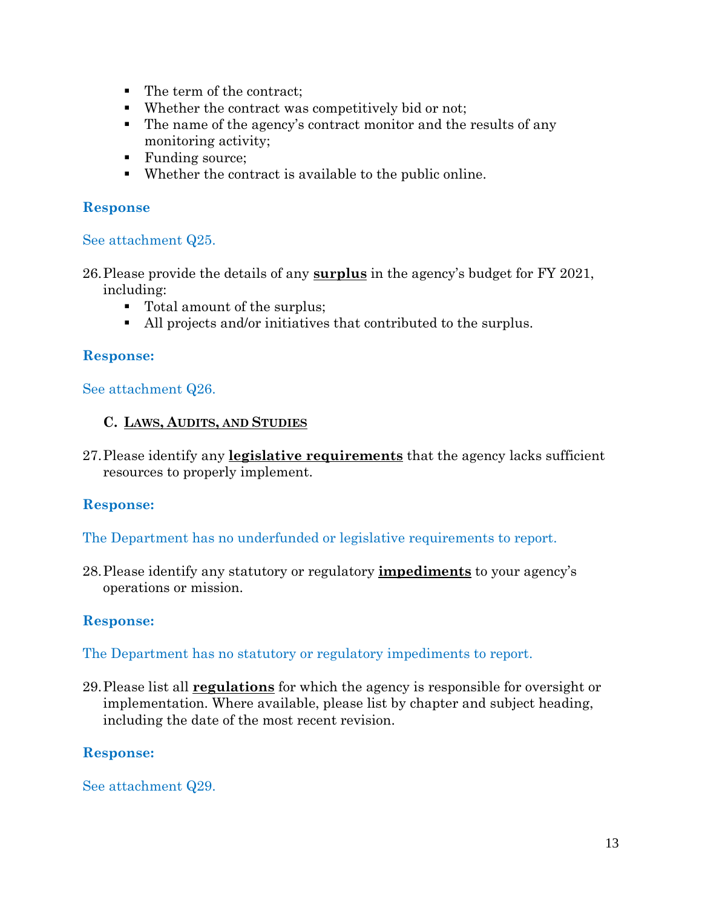- The term of the contract;
- Whether the contract was competitively bid or not;
- The name of the agency's contract monitor and the results of any monitoring activity;
- Funding source;
- Whether the contract is available to the public online.

#### See attachment Q25.

26.Please provide the details of any **surplus** in the agency's budget for FY 2021, including:

- Total amount of the surplus;
- All projects and/or initiatives that contributed to the surplus.

## **Response:**

#### See attachment Q26.

#### **C. LAWS, AUDITS, AND STUDIES**

27.Please identify any **legislative requirements** that the agency lacks sufficient resources to properly implement.

## **Response:**

The Department has no underfunded or legislative requirements to report.

28.Please identify any statutory or regulatory **impediments** to your agency's operations or mission.

## **Response:**

The Department has no statutory or regulatory impediments to report.

29.Please list all **regulations** for which the agency is responsible for oversight or implementation. Where available, please list by chapter and subject heading, including the date of the most recent revision.

## **Response:**

See attachment Q29.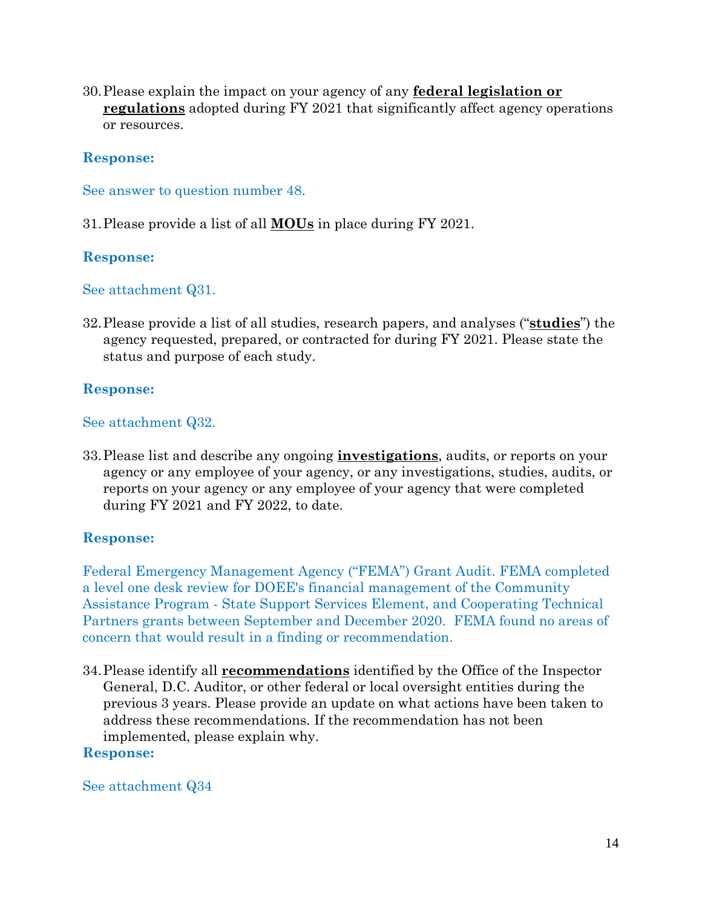30.Please explain the impact on your agency of any **federal legislation or regulations** adopted during FY 2021 that significantly affect agency operations or resources.

#### **Response:**

See answer to question number 48.

31.Please provide a list of all **MOUs** in place during FY 2021.

#### **Response:**

See attachment Q31.

32.Please provide a list of all studies, research papers, and analyses ("**studies**") the agency requested, prepared, or contracted for during FY 2021. Please state the status and purpose of each study.

## **Response:**

#### See attachment Q32.

33.Please list and describe any ongoing **investigations**, audits, or reports on your agency or any employee of your agency, or any investigations, studies, audits, or reports on your agency or any employee of your agency that were completed during FY 2021 and FY 2022, to date.

## **Response:**

Federal Emergency Management Agency ("FEMA") Grant Audit. FEMA completed a level one desk review for DOEE's financial management of the Community Assistance Program - State Support Services Element, and Cooperating Technical Partners grants between September and December 2020. FEMA found no areas of concern that would result in a finding or recommendation.

34.Please identify all **recommendations** identified by the Office of the Inspector General, D.C. Auditor, or other federal or local oversight entities during the previous 3 years. Please provide an update on what actions have been taken to address these recommendations. If the recommendation has not been implemented, please explain why.

#### **Response:**

#### See attachment Q34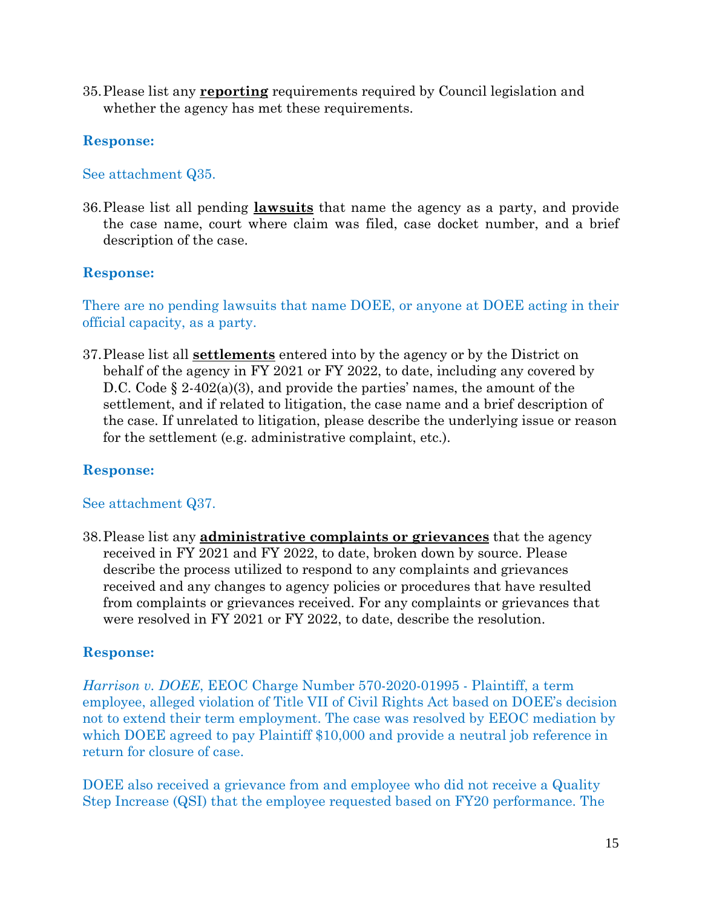35.Please list any **reporting** requirements required by Council legislation and whether the agency has met these requirements.

# **Response:**

## See attachment Q35.

36.Please list all pending **lawsuits** that name the agency as a party, and provide the case name, court where claim was filed, case docket number, and a brief description of the case.

# **Response:**

There are no pending lawsuits that name DOEE, or anyone at DOEE acting in their official capacity, as a party.

37.Please list all **settlements** entered into by the agency or by the District on behalf of the agency in FY 2021 or FY 2022, to date, including any covered by D.C. Code  $\S 2-402(a)(3)$ , and provide the parties' names, the amount of the settlement, and if related to litigation, the case name and a brief description of the case. If unrelated to litigation, please describe the underlying issue or reason for the settlement (e.g. administrative complaint, etc.).

# **Response:**

# See attachment Q37.

38.Please list any **administrative complaints or grievances** that the agency received in FY 2021 and FY 2022, to date, broken down by source. Please describe the process utilized to respond to any complaints and grievances received and any changes to agency policies or procedures that have resulted from complaints or grievances received. For any complaints or grievances that were resolved in FY 2021 or FY 2022, to date, describe the resolution.

# **Response:**

*Harrison v. DOEE*, EEOC Charge Number 570-2020-01995 - Plaintiff, a term employee, alleged violation of Title VII of Civil Rights Act based on DOEE's decision not to extend their term employment. The case was resolved by EEOC mediation by which DOEE agreed to pay Plaintiff \$10,000 and provide a neutral job reference in return for closure of case.

DOEE also received a grievance from and employee who did not receive a Quality Step Increase (QSI) that the employee requested based on FY20 performance. The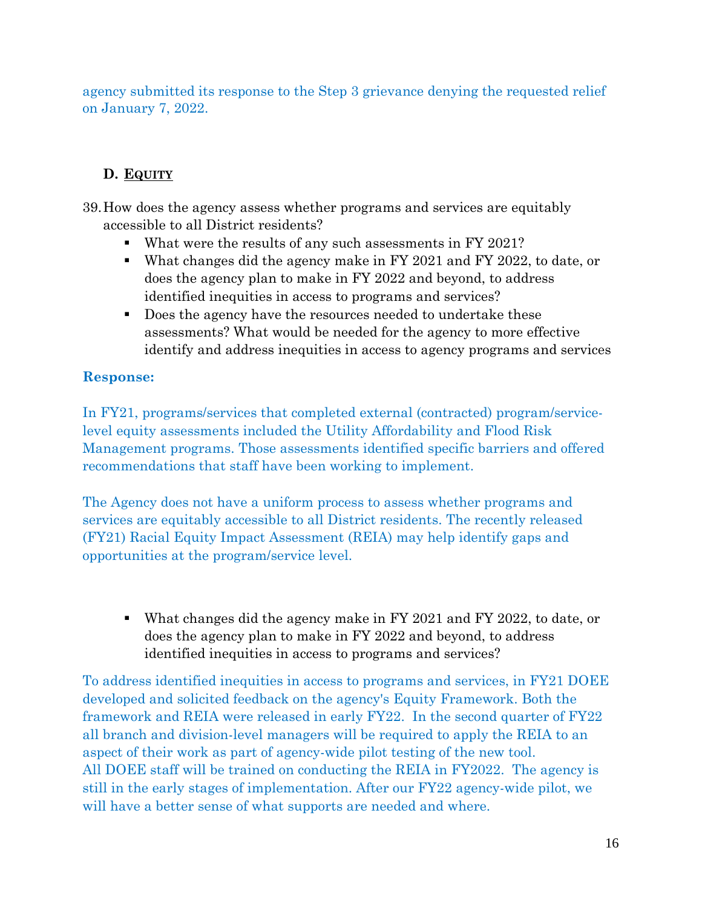agency submitted its response to the Step 3 grievance denying the requested relief on January 7, 2022.

# **D. EQUITY**

- 39.How does the agency assess whether programs and services are equitably accessible to all District residents?
	- What were the results of any such assessments in FY 2021?
	- What changes did the agency make in FY 2021 and FY 2022, to date, or does the agency plan to make in FY 2022 and beyond, to address identified inequities in access to programs and services?
	- Does the agency have the resources needed to undertake these assessments? What would be needed for the agency to more effective identify and address inequities in access to agency programs and services

# **Response:**

In FY21, programs/services that completed external (contracted) program/servicelevel equity assessments included the Utility Affordability and Flood Risk Management programs. Those assessments identified specific barriers and offered recommendations that staff have been working to implement.

The Agency does not have a uniform process to assess whether programs and services are equitably accessible to all District residents. The recently released (FY21) Racial Equity Impact Assessment (REIA) may help identify gaps and opportunities at the program/service level.

 What changes did the agency make in FY 2021 and FY 2022, to date, or does the agency plan to make in FY 2022 and beyond, to address identified inequities in access to programs and services?

To address identified inequities in access to programs and services, in FY21 DOEE developed and solicited feedback on the agency's Equity Framework. Both the framework and REIA were released in early FY22. In the second quarter of FY22 all branch and division-level managers will be required to apply the REIA to an aspect of their work as part of agency-wide pilot testing of the new tool. All DOEE staff will be trained on conducting the REIA in FY2022. The agency is still in the early stages of implementation. After our FY22 agency-wide pilot, we will have a better sense of what supports are needed and where.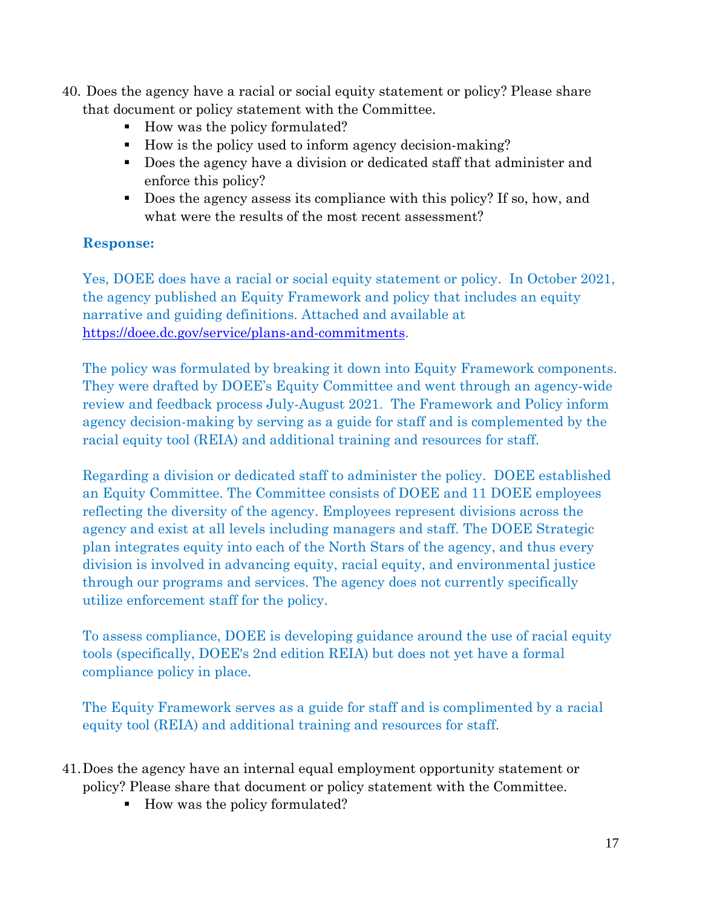- 40. Does the agency have a racial or social equity statement or policy? Please share that document or policy statement with the Committee.
	- How was the policy formulated?
	- How is the policy used to inform agency decision-making?
	- Does the agency have a division or dedicated staff that administer and enforce this policy?
	- Does the agency assess its compliance with this policy? If so, how, and what were the results of the most recent assessment?

Yes, DOEE does have a racial or social equity statement or policy. In October 2021, the agency published an Equity Framework and policy that includes an equity narrative and guiding definitions. Attached and available at [https://doee.dc.gov/service/plans-and-commitments.](https://doee.dc.gov/service/plans-and-commitments)

The policy was formulated by breaking it down into Equity Framework components. They were drafted by DOEE's Equity Committee and went through an agency-wide review and feedback process July-August 2021. The Framework and Policy inform agency decision-making by serving as a guide for staff and is complemented by the racial equity tool (REIA) and additional training and resources for staff.

Regarding a division or dedicated staff to administer the policy. DOEE established an Equity Committee. The Committee consists of DOEE and 11 DOEE employees reflecting the diversity of the agency. Employees represent divisions across the agency and exist at all levels including managers and staff. The DOEE Strategic plan integrates equity into each of the North Stars of the agency, and thus every division is involved in advancing equity, racial equity, and environmental justice through our programs and services. The agency does not currently specifically utilize enforcement staff for the policy.

To assess compliance, DOEE is developing guidance around the use of racial equity tools (specifically, DOEE's 2nd edition REIA) but does not yet have a formal compliance policy in place.

The Equity Framework serves as a guide for staff and is complimented by a racial equity tool (REIA) and additional training and resources for staff.

- 41.Does the agency have an internal equal employment opportunity statement or policy? Please share that document or policy statement with the Committee.
	- How was the policy formulated?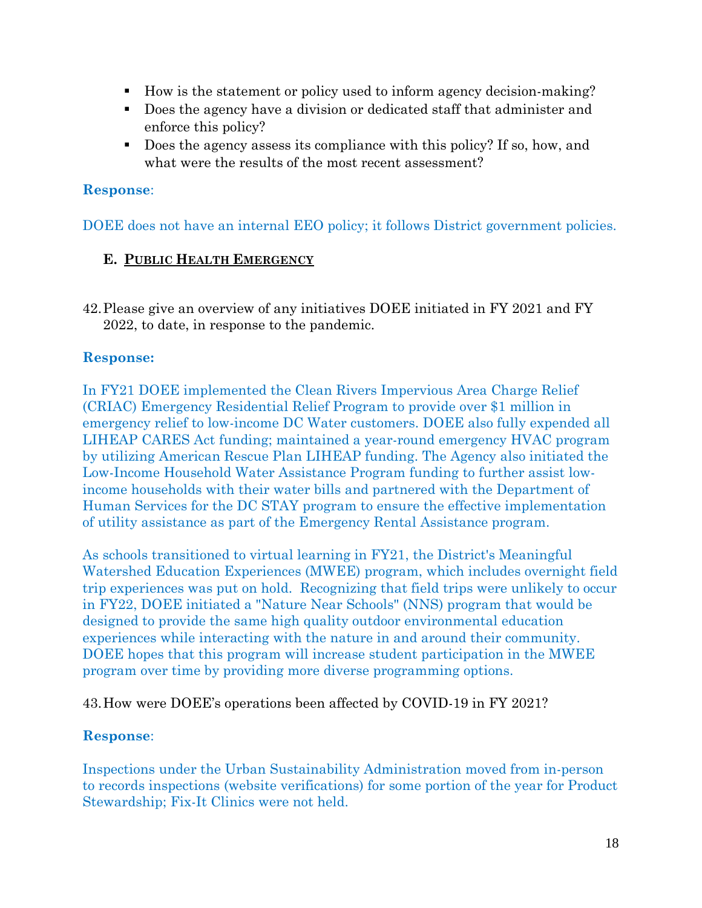- How is the statement or policy used to inform agency decision-making?
- Does the agency have a division or dedicated staff that administer and enforce this policy?
- Does the agency assess its compliance with this policy? If so, how, and what were the results of the most recent assessment?

DOEE does not have an internal EEO policy; it follows District government policies.

## **E. PUBLIC HEALTH EMERGENCY**

42.Please give an overview of any initiatives DOEE initiated in FY 2021 and FY 2022, to date, in response to the pandemic.

## **Response:**

In FY21 DOEE implemented the Clean Rivers Impervious Area Charge Relief (CRIAC) Emergency Residential Relief Program to provide over \$1 million in emergency relief to low-income DC Water customers. DOEE also fully expended all LIHEAP CARES Act funding; maintained a year-round emergency HVAC program by utilizing American Rescue Plan LIHEAP funding. The Agency also initiated the Low-Income Household Water Assistance Program funding to further assist lowincome households with their water bills and partnered with the Department of Human Services for the DC STAY program to ensure the effective implementation of utility assistance as part of the Emergency Rental Assistance program.

As schools transitioned to virtual learning in FY21, the District's Meaningful Watershed Education Experiences (MWEE) program, which includes overnight field trip experiences was put on hold. Recognizing that field trips were unlikely to occur in FY22, DOEE initiated a "Nature Near Schools" (NNS) program that would be designed to provide the same high quality outdoor environmental education experiences while interacting with the nature in and around their community. DOEE hopes that this program will increase student participation in the MWEE program over time by providing more diverse programming options.

43.How were DOEE's operations been affected by COVID-19 in FY 2021?

## **Response**:

Inspections under the Urban Sustainability Administration moved from in-person to records inspections (website verifications) for some portion of the year for Product Stewardship; Fix-It Clinics were not held.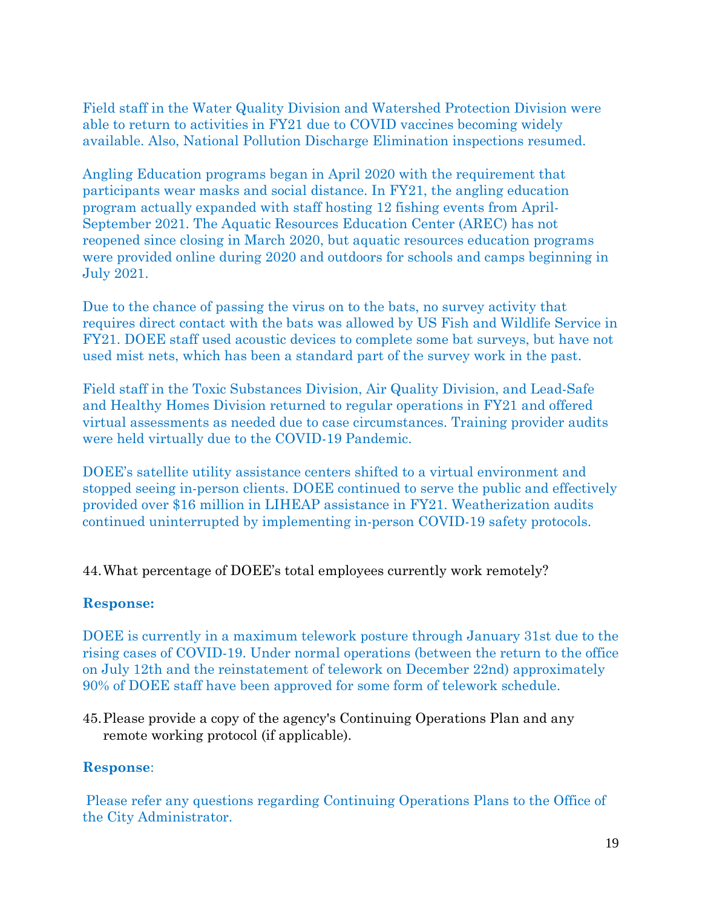Field staff in the Water Quality Division and Watershed Protection Division were able to return to activities in FY21 due to COVID vaccines becoming widely available. Also, National Pollution Discharge Elimination inspections resumed.

Angling Education programs began in April 2020 with the requirement that participants wear masks and social distance. In FY21, the angling education program actually expanded with staff hosting 12 fishing events from April-September 2021. The Aquatic Resources Education Center (AREC) has not reopened since closing in March 2020, but aquatic resources education programs were provided online during 2020 and outdoors for schools and camps beginning in July 2021.

Due to the chance of passing the virus on to the bats, no survey activity that requires direct contact with the bats was allowed by US Fish and Wildlife Service in FY21. DOEE staff used acoustic devices to complete some bat surveys, but have not used mist nets, which has been a standard part of the survey work in the past.

Field staff in the Toxic Substances Division, Air Quality Division, and Lead-Safe and Healthy Homes Division returned to regular operations in FY21 and offered virtual assessments as needed due to case circumstances. Training provider audits were held virtually due to the COVID-19 Pandemic.

DOEE's satellite utility assistance centers shifted to a virtual environment and stopped seeing in-person clients. DOEE continued to serve the public and effectively provided over \$16 million in LIHEAP assistance in FY21. Weatherization audits continued uninterrupted by implementing in-person COVID-19 safety protocols.

44.What percentage of DOEE's total employees currently work remotely?

## **Response:**

DOEE is currently in a maximum telework posture through January 31st due to the rising cases of COVID-19. Under normal operations (between the return to the office on July 12th and the reinstatement of telework on December 22nd) approximately 90% of DOEE staff have been approved for some form of telework schedule.

45.Please provide a copy of the agency's Continuing Operations Plan and any remote working protocol (if applicable).

#### **Response**:

Please refer any questions regarding Continuing Operations Plans to the Office of the City Administrator.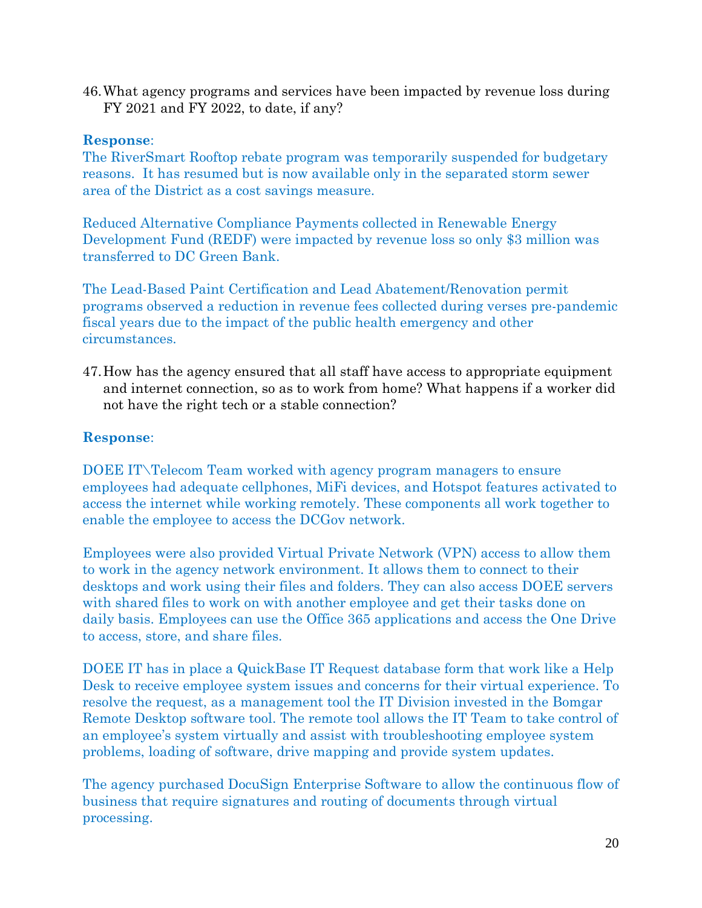46.What agency programs and services have been impacted by revenue loss during FY 2021 and FY 2022, to date, if any?

## **Response**:

The RiverSmart Rooftop rebate program was temporarily suspended for budgetary reasons. It has resumed but is now available only in the separated storm sewer area of the District as a cost savings measure.

Reduced Alternative Compliance Payments collected in Renewable Energy Development Fund (REDF) were impacted by revenue loss so only \$3 million was transferred to DC Green Bank.

The Lead-Based Paint Certification and Lead Abatement/Renovation permit programs observed a reduction in revenue fees collected during verses pre-pandemic fiscal years due to the impact of the public health emergency and other circumstances.

47.How has the agency ensured that all staff have access to appropriate equipment and internet connection, so as to work from home? What happens if a worker did not have the right tech or a stable connection?

# **Response**:

DOEE IT\Telecom Team worked with agency program managers to ensure employees had adequate cellphones, MiFi devices, and Hotspot features activated to access the internet while working remotely. These components all work together to enable the employee to access the DCGov network.

Employees were also provided Virtual Private Network (VPN) access to allow them to work in the agency network environment. It allows them to connect to their desktops and work using their files and folders. They can also access DOEE servers with shared files to work on with another employee and get their tasks done on daily basis. Employees can use the Office 365 applications and access the One Drive to access, store, and share files.

DOEE IT has in place a QuickBase IT Request database form that work like a Help Desk to receive employee system issues and concerns for their virtual experience. To resolve the request, as a management tool the IT Division invested in the Bomgar Remote Desktop software tool. The remote tool allows the IT Team to take control of an employee's system virtually and assist with troubleshooting employee system problems, loading of software, drive mapping and provide system updates.

The agency purchased DocuSign Enterprise Software to allow the continuous flow of business that require signatures and routing of documents through virtual processing.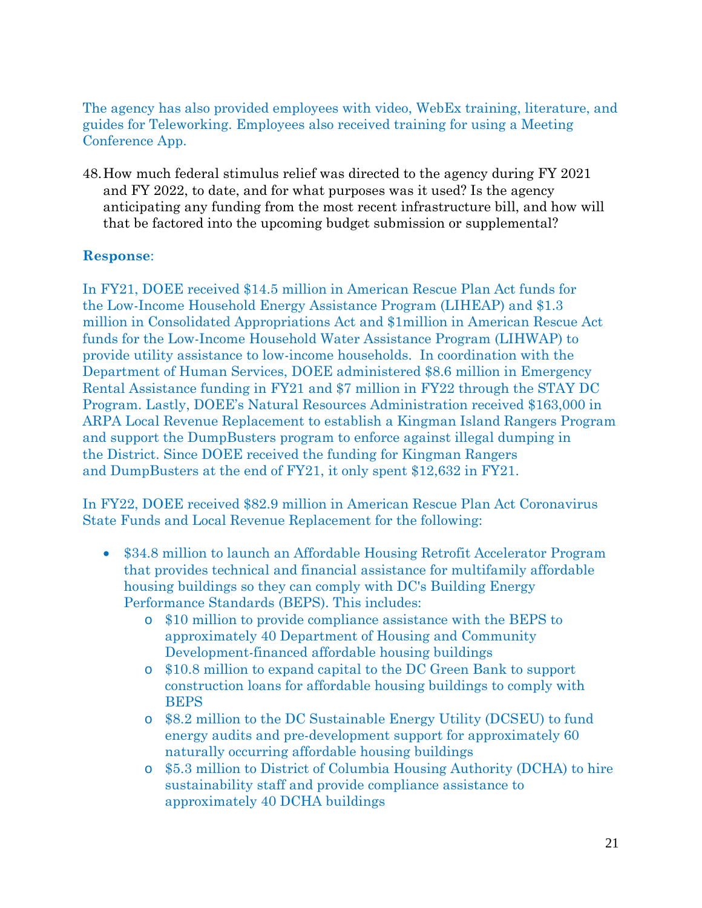The agency has also provided employees with video, WebEx training, literature, and guides for Teleworking. Employees also received training for using a Meeting Conference App.

48.How much federal stimulus relief was directed to the agency during FY 2021 and FY 2022, to date, and for what purposes was it used? Is the agency anticipating any funding from the most recent infrastructure bill, and how will that be factored into the upcoming budget submission or supplemental?

## **Response**:

In FY21, DOEE received \$14.5 million in American Rescue Plan Act funds for the Low-Income Household Energy Assistance Program (LIHEAP) and \$1.3 million in Consolidated Appropriations Act and \$1million in American Rescue Act funds for the Low-Income Household Water Assistance Program (LIHWAP) to provide utility assistance to low-income households. In coordination with the Department of Human Services, DOEE administered \$8.6 million in Emergency Rental Assistance funding in FY21 and \$7 million in FY22 through the STAY DC Program. Lastly, DOEE's Natural Resources Administration received \$163,000 in ARPA Local Revenue Replacement to establish a Kingman Island Rangers Program and support the DumpBusters program to enforce against illegal dumping in the District. Since DOEE received the funding for Kingman Rangers and DumpBusters at the end of FY21, it only spent \$12,632 in FY21.

In FY22, DOEE received \$82.9 million in American Rescue Plan Act Coronavirus State Funds and Local Revenue Replacement for the following:

- \$34.8 million to launch an Affordable Housing Retrofit Accelerator Program that provides technical and financial assistance for multifamily affordable housing buildings so they can comply with DC's Building Energy Performance Standards (BEPS). This includes:
	- o \$10 million to provide compliance assistance with the BEPS to approximately 40 Department of Housing and Community Development-financed affordable housing buildings
	- o \$10.8 million to expand capital to the DC Green Bank to support construction loans for affordable housing buildings to comply with BEPS
	- o \$8.2 million to the DC Sustainable Energy Utility (DCSEU) to fund energy audits and pre-development support for approximately 60 naturally occurring affordable housing buildings
	- o \$5.3 million to District of Columbia Housing Authority (DCHA) to hire sustainability staff and provide compliance assistance to approximately 40 DCHA buildings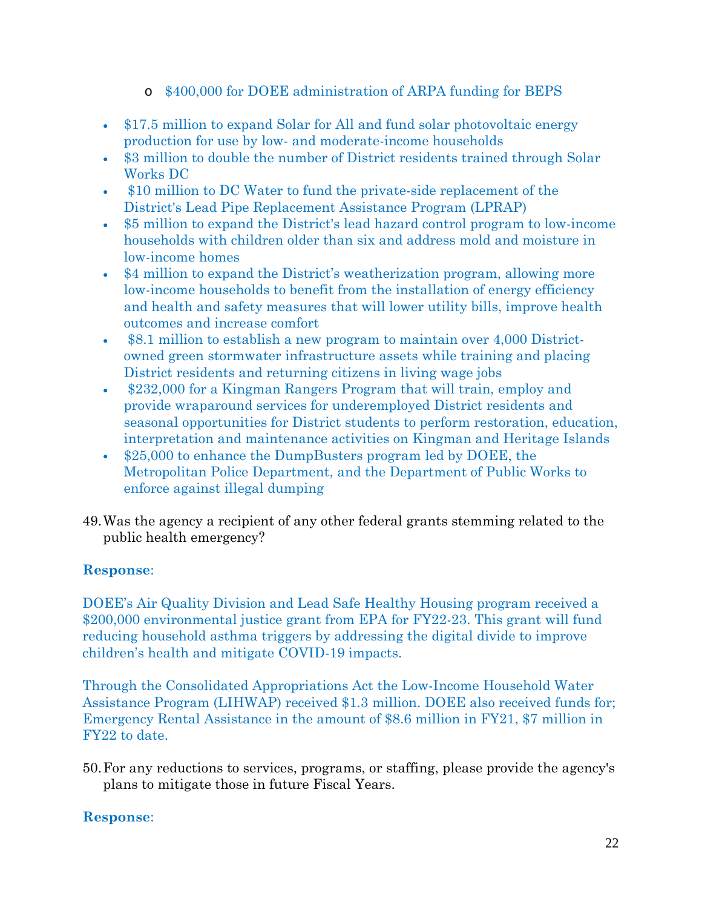- o \$400,000 for DOEE administration of ARPA funding for BEPS
- \$17.5 million to expand Solar for All and fund solar photovoltaic energy production for use by low- and moderate-income households
- \$3 million to double the number of District residents trained through Solar Works DC
- \$10 million to DC Water to fund the private-side replacement of the District's Lead Pipe Replacement Assistance Program (LPRAP)
- \$5 million to expand the District's lead hazard control program to low-income households with children older than six and address mold and moisture in low-income homes
- \$4 million to expand the District's weatherization program, allowing more low-income households to benefit from the installation of energy efficiency and health and safety measures that will lower utility bills, improve health outcomes and increase comfort
- \$8.1 million to establish a new program to maintain over 4,000 Districtowned green stormwater infrastructure assets while training and placing District residents and returning citizens in living wage jobs
- \$232,000 for a Kingman Rangers Program that will train, employ and provide wraparound services for underemployed District residents and seasonal opportunities for District students to perform restoration, education, interpretation and maintenance activities on Kingman and Heritage Islands
- \$25,000 to enhance the DumpBusters program led by DOEE, the Metropolitan Police Department, and the Department of Public Works to enforce against illegal dumping
- 49.Was the agency a recipient of any other federal grants stemming related to the public health emergency?

DOEE's Air Quality Division and Lead Safe Healthy Housing program received a \$200,000 environmental justice grant from EPA for FY22-23. This grant will fund reducing household asthma triggers by addressing the digital divide to improve children's health and mitigate COVID-19 impacts.

Through the Consolidated Appropriations Act the Low-Income Household Water Assistance Program (LIHWAP) received \$1.3 million. DOEE also received funds for; Emergency Rental Assistance in the amount of \$8.6 million in FY21, \$7 million in FY22 to date.

50.For any reductions to services, programs, or staffing, please provide the agency's plans to mitigate those in future Fiscal Years.

## **Response**: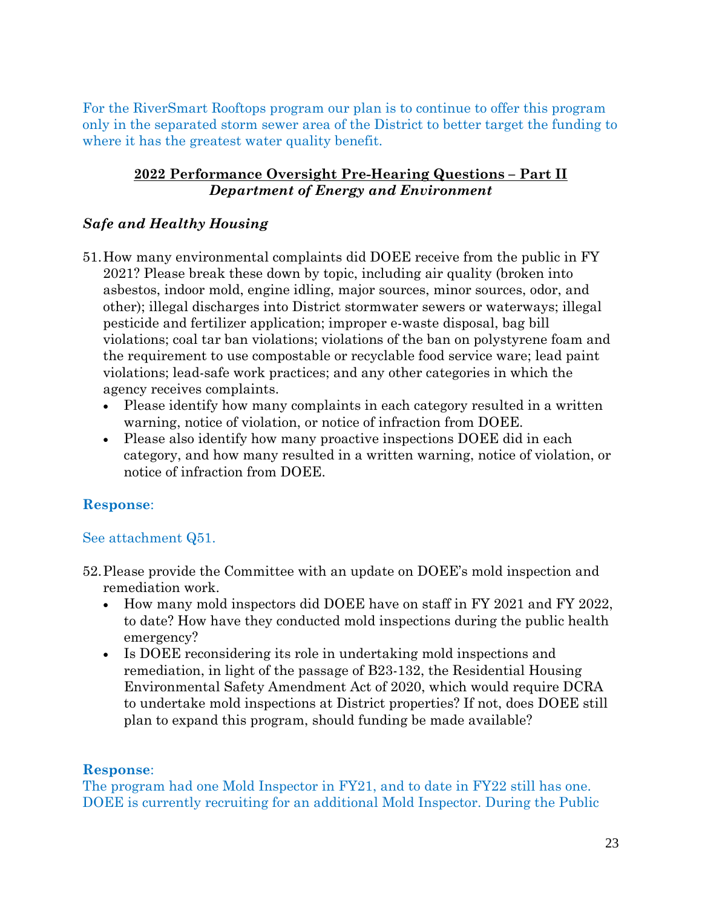For the RiverSmart Rooftops program our plan is to continue to offer this program only in the separated storm sewer area of the District to better target the funding to where it has the greatest water quality benefit.

#### **2022 Performance Oversight Pre-Hearing Questions – Part II** *Department of Energy and Environment*

## *Safe and Healthy Housing*

- 51.How many environmental complaints did DOEE receive from the public in FY 2021? Please break these down by topic, including air quality (broken into asbestos, indoor mold, engine idling, major sources, minor sources, odor, and other); illegal discharges into District stormwater sewers or waterways; illegal pesticide and fertilizer application; improper e-waste disposal, bag bill violations; coal tar ban violations; violations of the ban on polystyrene foam and the requirement to use compostable or recyclable food service ware; lead paint violations; lead-safe work practices; and any other categories in which the agency receives complaints.
	- Please identify how many complaints in each category resulted in a written warning, notice of violation, or notice of infraction from DOEE.
	- Please also identify how many proactive inspections DOEE did in each category, and how many resulted in a written warning, notice of violation, or notice of infraction from DOEE.

# **Response**:

## See attachment Q51.

- 52.Please provide the Committee with an update on DOEE's mold inspection and remediation work.
	- How many mold inspectors did DOEE have on staff in FY 2021 and FY 2022, to date? How have they conducted mold inspections during the public health emergency?
	- Is DOEE reconsidering its role in undertaking mold inspections and remediation, in light of the passage of B23-132, the Residential Housing Environmental Safety Amendment Act of 2020, which would require DCRA to undertake mold inspections at District properties? If not, does DOEE still plan to expand this program, should funding be made available?

## **Response**:

The program had one Mold Inspector in FY21, and to date in FY22 still has one. DOEE is currently recruiting for an additional Mold Inspector. During the Public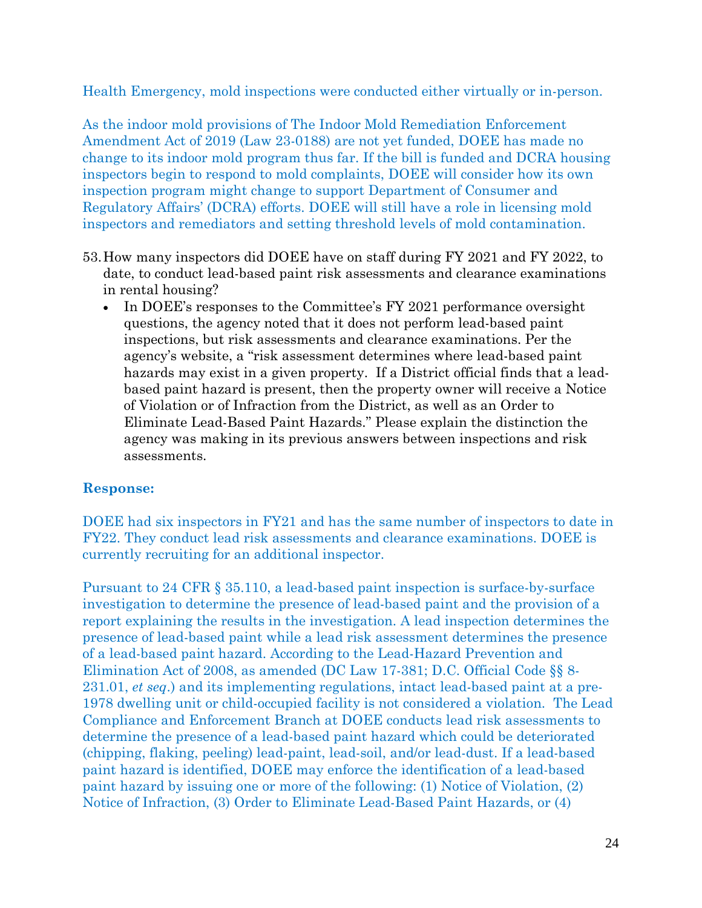Health Emergency, mold inspections were conducted either virtually or in-person.

As the indoor mold provisions of The Indoor Mold Remediation Enforcement Amendment Act of 2019 (Law 23-0188) are not yet funded, DOEE has made no change to its indoor mold program thus far. If the bill is funded and DCRA housing inspectors begin to respond to mold complaints, DOEE will consider how its own inspection program might change to support Department of Consumer and Regulatory Affairs' (DCRA) efforts. DOEE will still have a role in licensing mold inspectors and remediators and setting threshold levels of mold contamination.

- 53.How many inspectors did DOEE have on staff during FY 2021 and FY 2022, to date, to conduct lead-based paint risk assessments and clearance examinations in rental housing?
	- In DOEE's responses to the Committee's FY 2021 performance oversight questions, the agency noted that it does not perform lead-based paint inspections, but risk assessments and clearance examinations. Per the agency's website, a "risk assessment determines where lead-based paint hazards may exist in a given property. If a District official finds that a leadbased paint hazard is present, then the property owner will receive a Notice of Violation or of Infraction from the District, as well as an Order to Eliminate Lead-Based Paint Hazards." Please explain the distinction the agency was making in its previous answers between inspections and risk assessments.

## **Response:**

DOEE had six inspectors in FY21 and has the same number of inspectors to date in FY22. They conduct lead risk assessments and clearance examinations. DOEE is currently recruiting for an additional inspector.

Pursuant to 24 CFR § 35.110, a lead-based paint inspection is surface-by-surface investigation to determine the presence of lead-based paint and the provision of a report explaining the results in the investigation. A lead inspection determines the presence of lead-based paint while a lead risk assessment determines the presence of a lead-based paint hazard. According to the Lead-Hazard Prevention and Elimination Act of 2008, as amended (DC Law 17-381; D.C. Official Code §§ 8- 231.01, *et seq*.) and its implementing regulations, intact lead-based paint at a pre-1978 dwelling unit or child-occupied facility is not considered a violation. The Lead Compliance and Enforcement Branch at DOEE conducts lead risk assessments to determine the presence of a lead-based paint hazard which could be deteriorated (chipping, flaking, peeling) lead-paint, lead-soil, and/or lead-dust. If a lead-based paint hazard is identified, DOEE may enforce the identification of a lead-based paint hazard by issuing one or more of the following: (1) Notice of Violation, (2) Notice of Infraction, (3) Order to Eliminate Lead-Based Paint Hazards, or (4)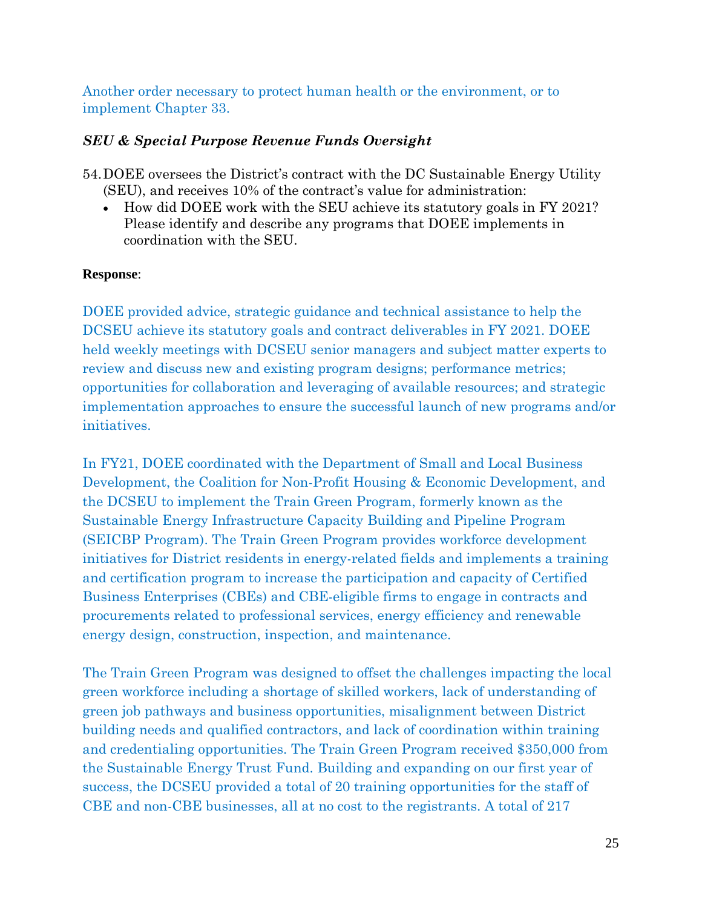Another order necessary to protect human health or the environment, or to implement Chapter 33.

## *SEU & Special Purpose Revenue Funds Oversight*

- 54.DOEE oversees the District's contract with the DC Sustainable Energy Utility (SEU), and receives 10% of the contract's value for administration:
	- How did DOEE work with the SEU achieve its statutory goals in FY 2021? Please identify and describe any programs that DOEE implements in coordination with the SEU.

## **Response**:

DOEE provided advice, strategic guidance and technical assistance to help the DCSEU achieve its statutory goals and contract deliverables in FY 2021. DOEE held weekly meetings with DCSEU senior managers and subject matter experts to review and discuss new and existing program designs; performance metrics; opportunities for collaboration and leveraging of available resources; and strategic implementation approaches to ensure the successful launch of new programs and/or initiatives.

In FY21, DOEE coordinated with the Department of Small and Local Business Development, the Coalition for Non-Profit Housing & Economic Development, and the DCSEU to implement the Train Green Program, formerly known as the Sustainable Energy Infrastructure Capacity Building and Pipeline Program (SEICBP Program). The Train Green Program provides workforce development initiatives for District residents in energy-related fields and implements a training and certification program to increase the participation and capacity of Certified Business Enterprises (CBEs) and CBE-eligible firms to engage in contracts and procurements related to professional services, energy efficiency and renewable energy design, construction, inspection, and maintenance.

The Train Green Program was designed to offset the challenges impacting the local green workforce including a shortage of skilled workers, lack of understanding of green job pathways and business opportunities, misalignment between District building needs and qualified contractors, and lack of coordination within training and credentialing opportunities. The Train Green Program received \$350,000 from the Sustainable Energy Trust Fund. Building and expanding on our first year of success, the DCSEU provided a total of 20 training opportunities for the staff of CBE and non-CBE businesses, all at no cost to the registrants. A total of 217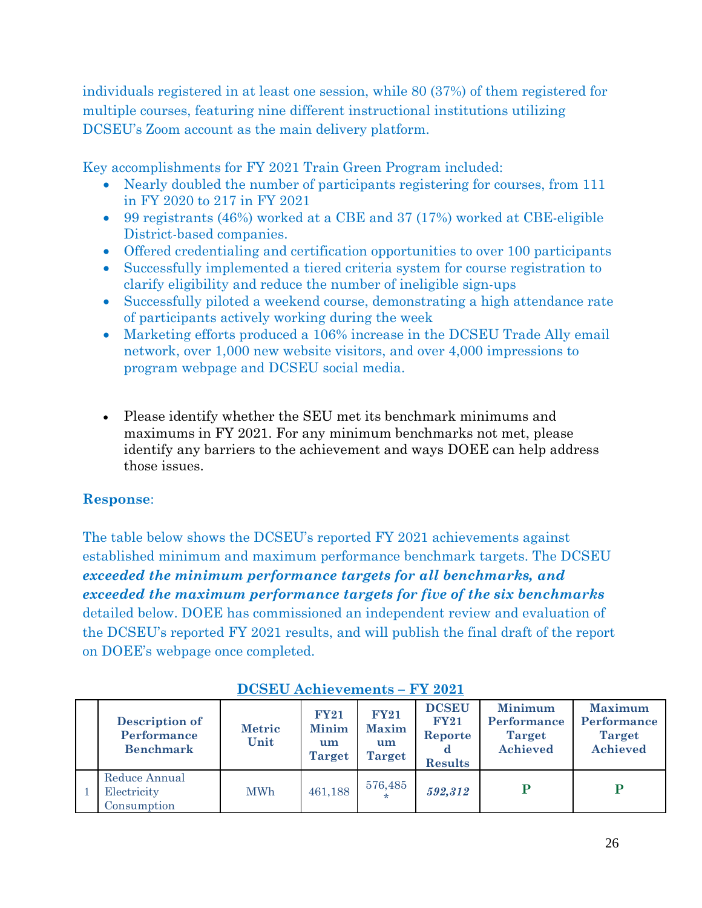individuals registered in at least one session, while 80 (37%) of them registered for multiple courses, featuring nine different instructional institutions utilizing DCSEU's Zoom account as the main delivery platform.

Key accomplishments for FY 2021 Train Green Program included:

- Nearly doubled the number of participants registering for courses, from 111 in FY 2020 to 217 in FY 2021
- 99 registrants (46%) worked at a CBE and 37 (17%) worked at CBE-eligible District-based companies.
- Offered credentialing and certification opportunities to over 100 participants
- Successfully implemented a tiered criteria system for course registration to clarify eligibility and reduce the number of ineligible sign-ups
- Successfully piloted a weekend course, demonstrating a high attendance rate of participants actively working during the week
- Marketing efforts produced a 106% increase in the DCSEU Trade Ally email network, over 1,000 new website visitors, and over 4,000 impressions to program webpage and DCSEU social media.
- Please identify whether the SEU met its benchmark minimums and maximums in FY 2021. For any minimum benchmarks not met, please identify any barriers to the achievement and ways DOEE can help address those issues.

# **Response**:

The table below shows the DCSEU's reported FY 2021 achievements against established minimum and maximum performance benchmark targets. The DCSEU *exceeded the minimum performance targets for all benchmarks, and exceeded the maximum performance targets for five of the six benchmarks* detailed below. DOEE has commissioned an independent review and evaluation of the DCSEU's reported FY 2021 results, and will publish the final draft of the report on DOEE's webpage once completed.

| <b>Description of</b><br>Performance<br><b>Benchmark</b> | <b>Metric</b><br>Unit | <b>FY21</b><br><b>Minim</b><br>um<br><b>Target</b> | <b>FY21</b><br><b>Maxim</b><br>um<br><b>Target</b> | <b>DCSEU</b><br><b>FY21</b><br>Reporte<br><b>Results</b> | <b>Minimum</b><br>Performance<br><b>Target</b><br><b>Achieved</b> | <b>Maximum</b><br>Performance<br><b>Target</b><br>Achieved |
|----------------------------------------------------------|-----------------------|----------------------------------------------------|----------------------------------------------------|----------------------------------------------------------|-------------------------------------------------------------------|------------------------------------------------------------|
| Reduce Annual<br>Electricity<br>Consumption              | <b>MWh</b>            | 461,188                                            | 576,485<br>÷                                       | 592,312                                                  | D                                                                 |                                                            |

# **DCSEU Achievements – FY 2021**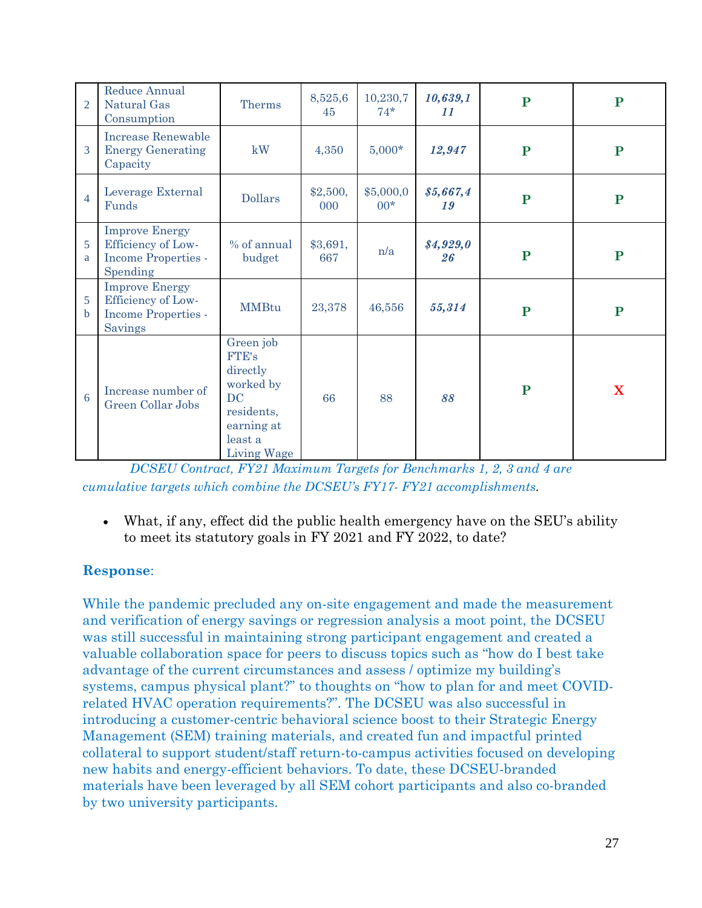| $\overline{2}$   | Reduce Annual<br>Natural Gas<br>Consumption                                           | <b>Therms</b>                                                                                                         | 8,525,6<br>45   | 10,230,7<br>$74*$  | 10,639,1<br>11  | ${\bf P}$ | ${\bf P}$   |
|------------------|---------------------------------------------------------------------------------------|-----------------------------------------------------------------------------------------------------------------------|-----------------|--------------------|-----------------|-----------|-------------|
| 3                | <b>Increase Renewable</b><br><b>Energy Generating</b><br>Capacity                     | kW                                                                                                                    | 4,350           | $5,000*$           | 12,947          | ${\bf P}$ | ${\bf P}$   |
| $\overline{4}$   | Leverage External<br>Funds                                                            | <b>Dollars</b>                                                                                                        | \$2,500,<br>000 | \$5,000,0<br>$00*$ | \$5,667,4<br>19 | ${\bf P}$ | ${\bf P}$   |
| 5<br>a           | <b>Improve Energy</b><br>Efficiency of Low-<br><b>Income Properties -</b><br>Spending | % of annual<br>budget                                                                                                 | \$3,691,<br>667 | n/a                | \$4,929,0<br>26 | ${\bf P}$ | ${\bf P}$   |
| 5<br>$\mathbf b$ | <b>Improve Energy</b><br>Efficiency of Low-<br>Income Properties -<br><b>Savings</b>  | <b>MMBtu</b>                                                                                                          | 23,378          | 46,556             | 55,314          | ${\bf P}$ | ${\bf P}$   |
| 6                | Increase number of<br>Green Collar Jobs                                               | Green job<br><b>FTE's</b><br>directly<br>worked by<br><b>DC</b><br>residents,<br>earning at<br>least a<br>Living Wage | 66              | 88                 | 88              | ${\bf P}$ | $\mathbf X$ |

*PCSEU Contract, FY21 Maximum Targets for Benchmarks 1, 2, 3 and 4 are cumulative targets which combine the DCSEU's FY17- FY21 accomplishments.*

• What, if any, effect did the public health emergency have on the SEU's ability to meet its statutory goals in FY 2021 and FY 2022, to date?

# **Response**:

While the pandemic precluded any on-site engagement and made the measurement and verification of energy savings or regression analysis a moot point, the DCSEU was still successful in maintaining strong participant engagement and created a valuable collaboration space for peers to discuss topics such as "how do I best take advantage of the current circumstances and assess / optimize my building's systems, campus physical plant?" to thoughts on "how to plan for and meet COVIDrelated HVAC operation requirements?". The DCSEU was also successful in introducing a customer-centric behavioral science boost to their Strategic Energy Management (SEM) training materials, and created fun and impactful printed collateral to support student/staff return-to-campus activities focused on developing new habits and energy-efficient behaviors. To date, these DCSEU-branded materials have been leveraged by all SEM cohort participants and also co-branded by two university participants.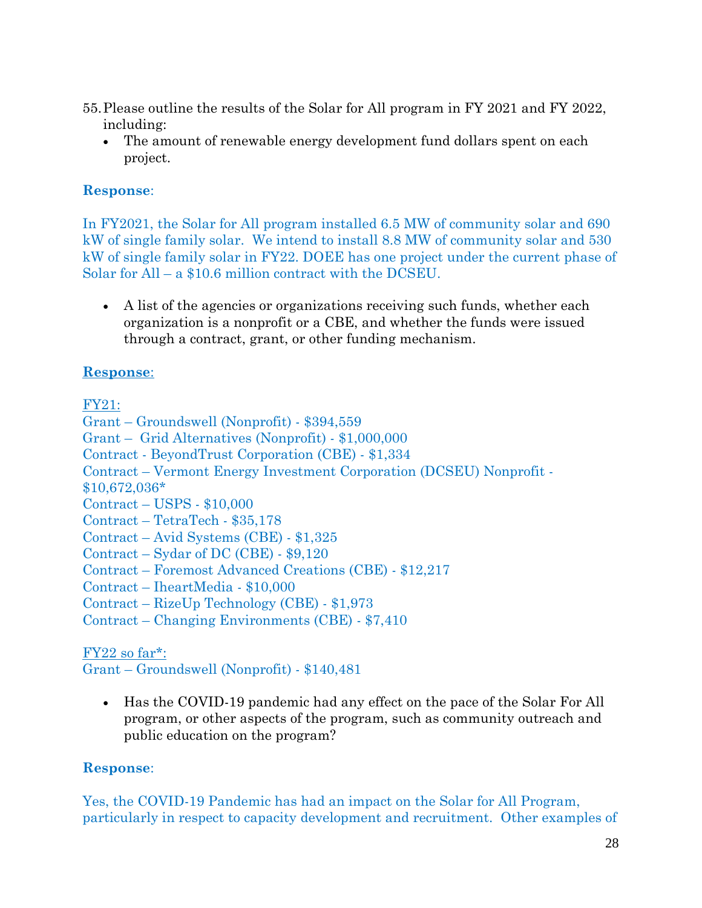- 55.Please outline the results of the Solar for All program in FY 2021 and FY 2022, including:
	- The amount of renewable energy development fund dollars spent on each project.

In FY2021, the Solar for All program installed 6.5 MW of community solar and 690 kW of single family solar. We intend to install 8.8 MW of community solar and 530 kW of single family solar in FY22. DOEE has one project under the current phase of Solar for All – a \$10.6 million contract with the DCSEU.

• A list of the agencies or organizations receiving such funds, whether each organization is a nonprofit or a CBE, and whether the funds were issued through a contract, grant, or other funding mechanism.

# **Response**:

FY21:

Grant – Groundswell (Nonprofit) - \$394,559 Grant – Grid Alternatives (Nonprofit) - \$1,000,000 Contract - BeyondTrust Corporation (CBE) - \$1,334 Contract – Vermont Energy Investment Corporation (DCSEU) Nonprofit - \$10,672,036\* Contract – USPS - \$10,000 Contract – TetraTech - \$35,178 Contract – Avid Systems (CBE) - \$1,325 Contract – Sydar of DC (CBE) - \$9,120 Contract – Foremost Advanced Creations (CBE) - \$12,217

Contract – IheartMedia - \$10,000

Contract – RizeUp Technology (CBE) - \$1,973

Contract – Changing Environments (CBE) - \$7,410

## $FY22$  so far<sup>\*</sup>:

Grant – Groundswell (Nonprofit) - \$140,481

• Has the COVID-19 pandemic had any effect on the pace of the Solar For All program, or other aspects of the program, such as community outreach and public education on the program?

# **Response**:

Yes, the COVID-19 Pandemic has had an impact on the Solar for All Program, particularly in respect to capacity development and recruitment. Other examples of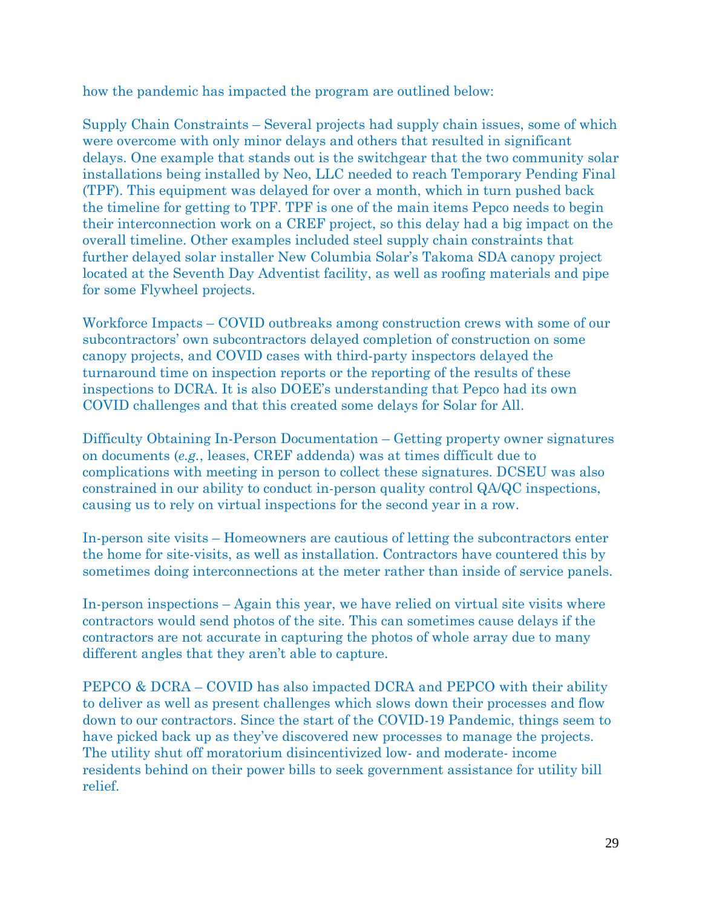how the pandemic has impacted the program are outlined below:

Supply Chain Constraints – Several projects had supply chain issues, some of which were overcome with only minor delays and others that resulted in significant delays. One example that stands out is the switchgear that the two community solar installations being installed by Neo, LLC needed to reach Temporary Pending Final (TPF). This equipment was delayed for over a month, which in turn pushed back the timeline for getting to TPF. TPF is one of the main items Pepco needs to begin their interconnection work on a CREF project, so this delay had a big impact on the overall timeline. Other examples included steel supply chain constraints that further delayed solar installer New Columbia Solar's Takoma SDA canopy project located at the Seventh Day Adventist facility, as well as roofing materials and pipe for some Flywheel projects.

Workforce Impacts – COVID outbreaks among construction crews with some of our subcontractors' own subcontractors delayed completion of construction on some canopy projects, and COVID cases with third-party inspectors delayed the turnaround time on inspection reports or the reporting of the results of these inspections to DCRA. It is also DOEE's understanding that Pepco had its own COVID challenges and that this created some delays for Solar for All.

Difficulty Obtaining In-Person Documentation – Getting property owner signatures on documents (*e.g.*, leases, CREF addenda) was at times difficult due to complications with meeting in person to collect these signatures. DCSEU was also constrained in our ability to conduct in-person quality control QA/QC inspections, causing us to rely on virtual inspections for the second year in a row.

In-person site visits – Homeowners are cautious of letting the subcontractors enter the home for site-visits, as well as installation. Contractors have countered this by sometimes doing interconnections at the meter rather than inside of service panels.

In-person inspections – Again this year, we have relied on virtual site visits where contractors would send photos of the site. This can sometimes cause delays if the contractors are not accurate in capturing the photos of whole array due to many different angles that they aren't able to capture.

PEPCO & DCRA – COVID has also impacted DCRA and PEPCO with their ability to deliver as well as present challenges which slows down their processes and flow down to our contractors. Since the start of the COVID-19 Pandemic, things seem to have picked back up as they've discovered new processes to manage the projects. The utility shut off moratorium disincentivized low- and moderate- income residents behind on their power bills to seek government assistance for utility bill relief.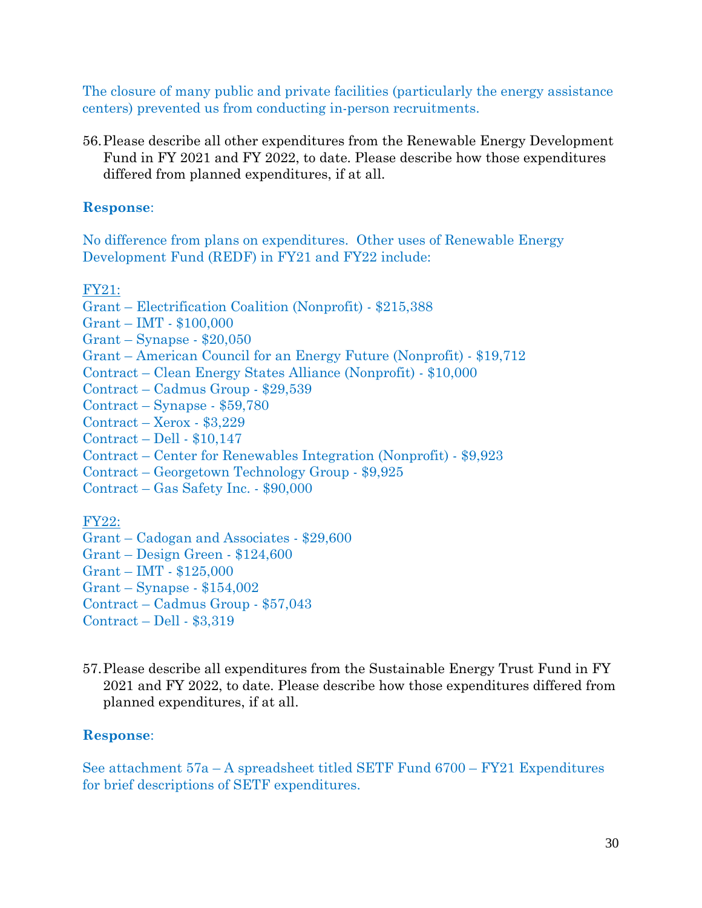The closure of many public and private facilities (particularly the energy assistance centers) prevented us from conducting in-person recruitments.

56.Please describe all other expenditures from the Renewable Energy Development Fund in FY 2021 and FY 2022, to date. Please describe how those expenditures differed from planned expenditures, if at all.

#### **Response**:

No difference from plans on expenditures. Other uses of Renewable Energy Development Fund (REDF) in FY21 and FY22 include:

FY21:

- Grant Electrification Coalition (Nonprofit) \$215,388
- Grant IMT \$100,000
- Grant Synapse \$20,050
- Grant American Council for an Energy Future (Nonprofit) \$19,712
- Contract Clean Energy States Alliance (Nonprofit) \$10,000
- Contract Cadmus Group \$29,539
- Contract Synapse \$59,780
- Contract Xerox \$3,229
- Contract Dell \$10,147
- Contract Center for Renewables Integration (Nonprofit) \$9,923
- Contract Georgetown Technology Group \$9,925
- Contract Gas Safety Inc. \$90,000

FY22:

- Grant Cadogan and Associates \$29,600
- Grant Design Green \$124,600
- Grant IMT \$125,000
- Grant Synapse \$154,002
- Contract Cadmus Group \$57,043

Contract – Dell - \$3,319

57.Please describe all expenditures from the Sustainable Energy Trust Fund in FY 2021 and FY 2022, to date. Please describe how those expenditures differed from planned expenditures, if at all.

#### **Response**:

See attachment 57a – A spreadsheet titled SETF Fund 6700 – FY21 Expenditures for brief descriptions of SETF expenditures.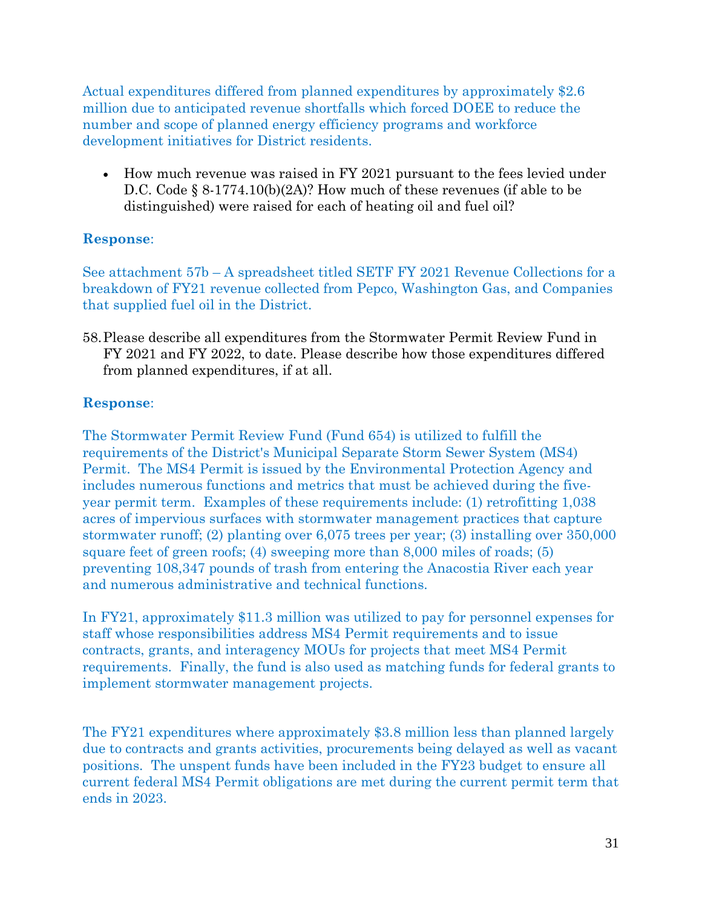Actual expenditures differed from planned expenditures by approximately \$2.6 million due to anticipated revenue shortfalls which forced DOEE to reduce the number and scope of planned energy efficiency programs and workforce development initiatives for District residents.

• How much revenue was raised in FY 2021 pursuant to the fees levied under D.C. Code § 8-1774.10(b)(2A)? How much of these revenues (if able to be distinguished) were raised for each of heating oil and fuel oil?

## **Response**:

See attachment 57b – A spreadsheet titled SETF FY 2021 Revenue Collections for a breakdown of FY21 revenue collected from Pepco, Washington Gas, and Companies that supplied fuel oil in the District.

58.Please describe all expenditures from the Stormwater Permit Review Fund in FY 2021 and FY 2022, to date. Please describe how those expenditures differed from planned expenditures, if at all.

# **Response**:

The Stormwater Permit Review Fund (Fund 654) is utilized to fulfill the requirements of the District's Municipal Separate Storm Sewer System (MS4) Permit. The MS4 Permit is issued by the Environmental Protection Agency and includes numerous functions and metrics that must be achieved during the fiveyear permit term. Examples of these requirements include: (1) retrofitting 1,038 acres of impervious surfaces with stormwater management practices that capture stormwater runoff; (2) planting over 6,075 trees per year; (3) installing over 350,000 square feet of green roofs; (4) sweeping more than 8,000 miles of roads; (5) preventing 108,347 pounds of trash from entering the Anacostia River each year and numerous administrative and technical functions.

In FY21, approximately \$11.3 million was utilized to pay for personnel expenses for staff whose responsibilities address MS4 Permit requirements and to issue contracts, grants, and interagency MOUs for projects that meet MS4 Permit requirements. Finally, the fund is also used as matching funds for federal grants to implement stormwater management projects.

The FY21 expenditures where approximately \$3.8 million less than planned largely due to contracts and grants activities, procurements being delayed as well as vacant positions. The unspent funds have been included in the FY23 budget to ensure all current federal MS4 Permit obligations are met during the current permit term that ends in 2023.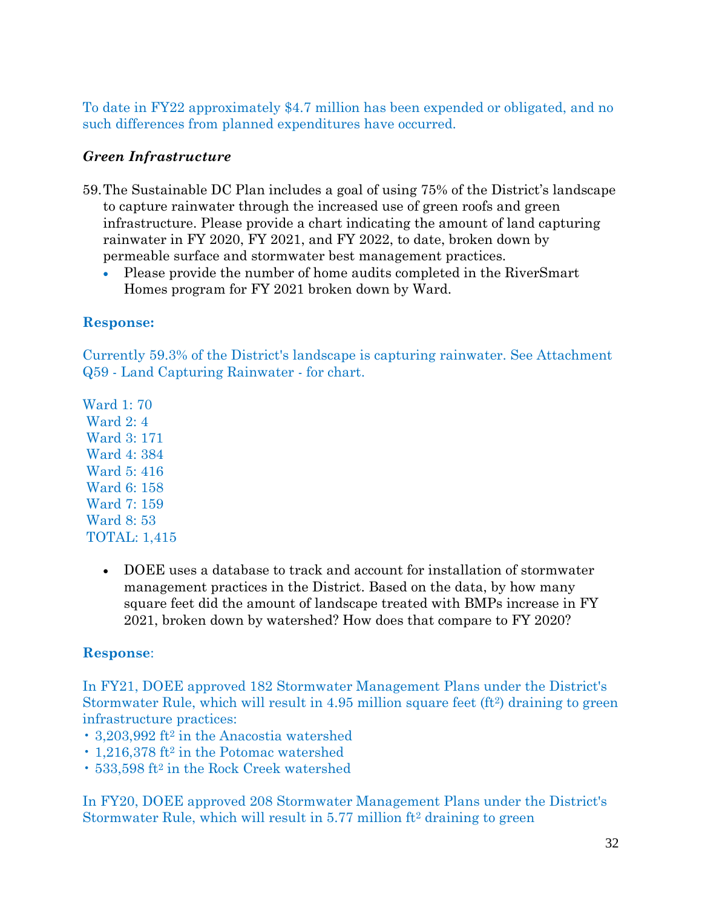To date in FY22 approximately \$4.7 million has been expended or obligated, and no such differences from planned expenditures have occurred.

# *Green Infrastructure*

- 59.The Sustainable DC Plan includes a goal of using 75% of the District's landscape to capture rainwater through the increased use of green roofs and green infrastructure. Please provide a chart indicating the amount of land capturing rainwater in FY 2020, FY 2021, and FY 2022, to date, broken down by permeable surface and stormwater best management practices.
	- Please provide the number of home audits completed in the RiverSmart Homes program for FY 2021 broken down by Ward.

## **Response:**

Currently 59.3% of the District's landscape is capturing rainwater. See Attachment Q59 - Land Capturing Rainwater - for chart.

Ward 1: 70 Ward 2: 4 Ward 3: 171 Ward 4: 384 Ward 5: 416 Ward 6: 158 Ward 7: 159 Ward 8: 53 TOTAL: 1,415

> • DOEE uses a database to track and account for installation of stormwater management practices in the District. Based on the data, by how many square feet did the amount of landscape treated with BMPs increase in FY 2021, broken down by watershed? How does that compare to FY 2020?

# **Response**:

In FY21, DOEE approved 182 Stormwater Management Plans under the District's Stormwater Rule, which will result in 4.95 million square feet (ft<sup>2</sup>) draining to green infrastructure practices:

- 3,203,992 ft<sup>2</sup> in the Anacostia watershed
- 1,216,378 ft<sup>2</sup> in the Potomac watershed
- 533,598 ft<sup>2</sup> in the Rock Creek watershed

In FY20, DOEE approved 208 Stormwater Management Plans under the District's Stormwater Rule, which will result in 5.77 million ft<sup>2</sup> draining to green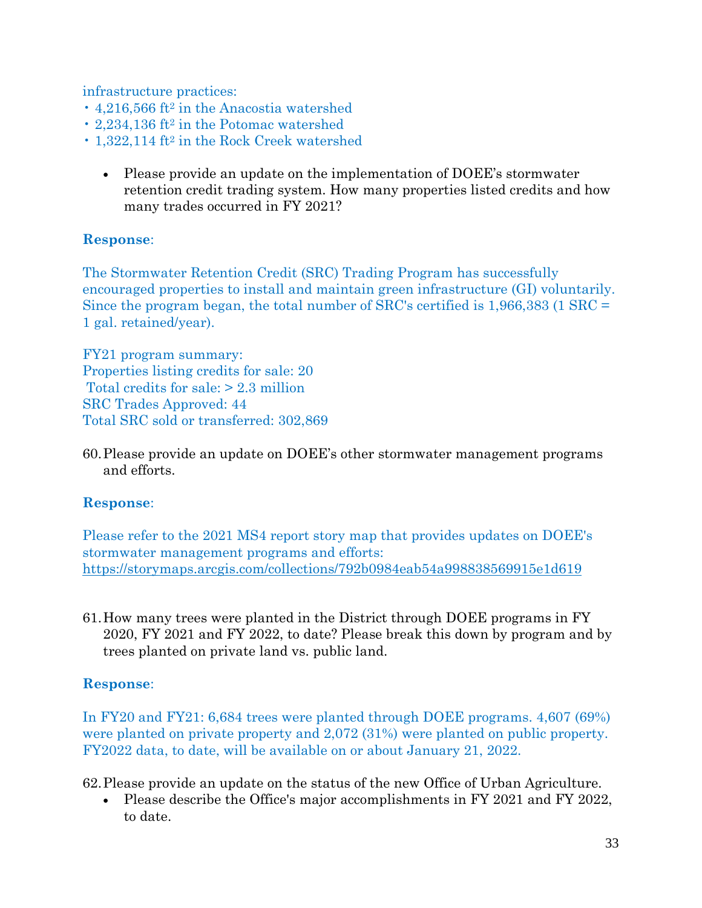infrastructure practices:

- 4.216.566 ft<sup>2</sup> in the Anacostia watershed
- 2,234,136 ft<sup>2</sup> in the Potomac watershed
- 1,322,114 ft<sup>2</sup> in the Rock Creek watershed
	- Please provide an update on the implementation of DOEE's stormwater retention credit trading system. How many properties listed credits and how many trades occurred in FY 2021?

## **Response**:

The Stormwater Retention Credit (SRC) Trading Program has successfully encouraged properties to install and maintain green infrastructure (GI) voluntarily. Since the program began, the total number of SRC's certified is 1,966,383 (1 SRC = 1 gal. retained/year).

FY21 program summary: Properties listing credits for sale: 20 Total credits for sale: > 2.3 million SRC Trades Approved: 44 Total SRC sold or transferred: 302,869

60.Please provide an update on DOEE's other stormwater management programs and efforts.

## **Response**:

Please refer to the 2021 MS4 report story map that provides updates on DOEE's stormwater management programs and efforts: <https://storymaps.arcgis.com/collections/792b0984eab54a998838569915e1d619>

61.How many trees were planted in the District through DOEE programs in FY 2020, FY 2021 and FY 2022, to date? Please break this down by program and by trees planted on private land vs. public land.

## **Response**:

In FY20 and FY21: 6,684 trees were planted through DOEE programs. 4,607 (69%) were planted on private property and 2,072 (31%) were planted on public property. FY2022 data, to date, will be available on or about January 21, 2022.

62.Please provide an update on the status of the new Office of Urban Agriculture.

• Please describe the Office's major accomplishments in FY 2021 and FY 2022, to date.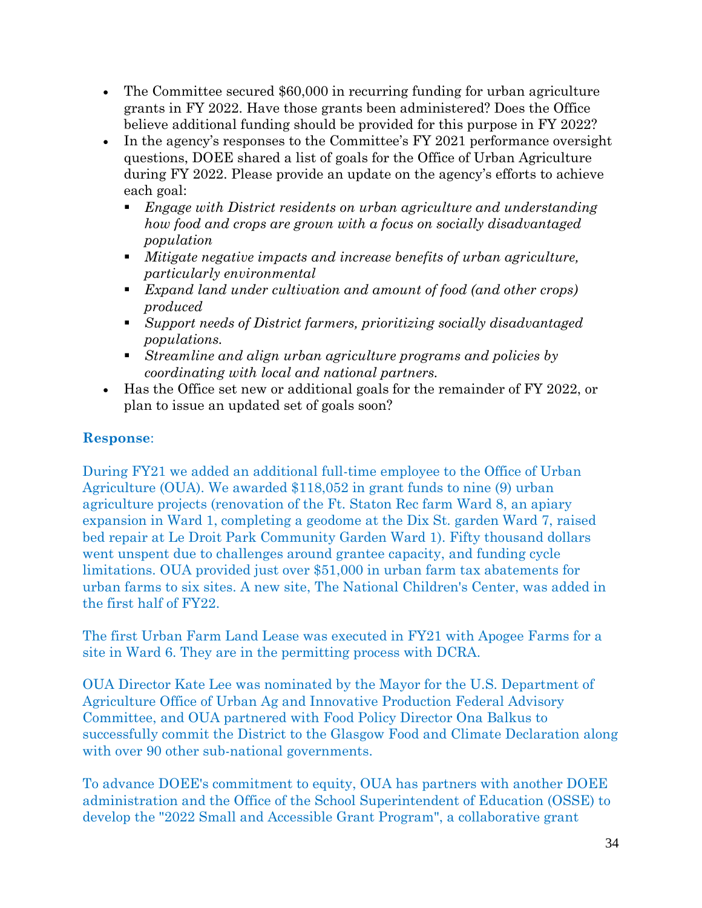- The Committee secured \$60,000 in recurring funding for urban agriculture grants in FY 2022. Have those grants been administered? Does the Office believe additional funding should be provided for this purpose in FY 2022?
- In the agency's responses to the Committee's FY 2021 performance oversight questions, DOEE shared a list of goals for the Office of Urban Agriculture during FY 2022. Please provide an update on the agency's efforts to achieve each goal:
	- *Engage with District residents on urban agriculture and understanding how food and crops are grown with a focus on socially disadvantaged population*
	- *Mitigate negative impacts and increase benefits of urban agriculture, particularly environmental*
	- *Expand land under cultivation and amount of food (and other crops) produced*
	- *Support needs of District farmers, prioritizing socially disadvantaged populations.*
	- *Streamline and align urban agriculture programs and policies by coordinating with local and national partners.*
- Has the Office set new or additional goals for the remainder of FY 2022, or plan to issue an updated set of goals soon?

During FY21 we added an additional full-time employee to the Office of Urban Agriculture (OUA). We awarded \$118,052 in grant funds to nine (9) urban agriculture projects (renovation of the Ft. Staton Rec farm Ward 8, an apiary expansion in Ward 1, completing a geodome at the Dix St. garden Ward 7, raised bed repair at Le Droit Park Community Garden Ward 1). Fifty thousand dollars went unspent due to challenges around grantee capacity, and funding cycle limitations. OUA provided just over \$51,000 in urban farm tax abatements for urban farms to six sites. A new site, The National Children's Center, was added in the first half of FY22.

The first Urban Farm Land Lease was executed in FY21 with Apogee Farms for a site in Ward 6. They are in the permitting process with DCRA.

OUA Director Kate Lee was nominated by the Mayor for the U.S. Department of Agriculture Office of Urban Ag and Innovative Production Federal Advisory Committee, and OUA partnered with Food Policy Director Ona Balkus to successfully commit the District to the Glasgow Food and Climate Declaration along with over 90 other sub-national governments.

To advance DOEE's commitment to equity, OUA has partners with another DOEE administration and the Office of the School Superintendent of Education (OSSE) to develop the "2022 Small and Accessible Grant Program", a collaborative grant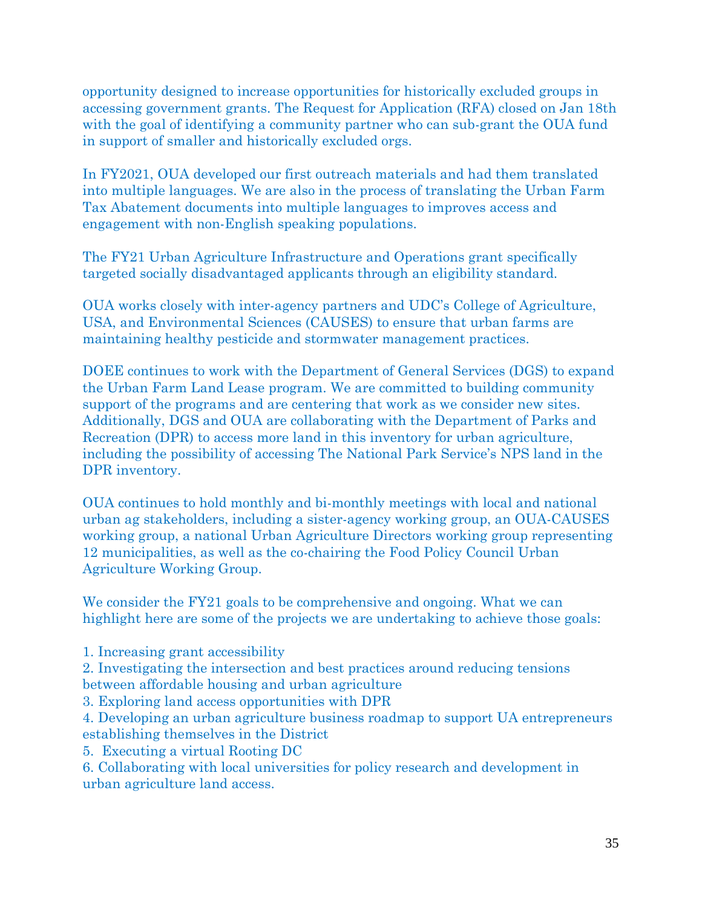opportunity designed to increase opportunities for historically excluded groups in accessing government grants. The Request for Application (RFA) closed on Jan 18th with the goal of identifying a community partner who can sub-grant the OUA fund in support of smaller and historically excluded orgs.

In FY2021, OUA developed our first outreach materials and had them translated into multiple languages. We are also in the process of translating the Urban Farm Tax Abatement documents into multiple languages to improves access and engagement with non-English speaking populations.

The FY21 Urban Agriculture Infrastructure and Operations grant specifically targeted socially disadvantaged applicants through an eligibility standard.

OUA works closely with inter-agency partners and UDC's College of Agriculture, USA, and Environmental Sciences (CAUSES) to ensure that urban farms are maintaining healthy pesticide and stormwater management practices.

DOEE continues to work with the Department of General Services (DGS) to expand the Urban Farm Land Lease program. We are committed to building community support of the programs and are centering that work as we consider new sites. Additionally, DGS and OUA are collaborating with the Department of Parks and Recreation (DPR) to access more land in this inventory for urban agriculture, including the possibility of accessing The National Park Service's NPS land in the DPR inventory.

OUA continues to hold monthly and bi-monthly meetings with local and national urban ag stakeholders, including a sister-agency working group, an OUA-CAUSES working group, a national Urban Agriculture Directors working group representing 12 municipalities, as well as the co-chairing the Food Policy Council Urban Agriculture Working Group.

We consider the FY21 goals to be comprehensive and ongoing. What we can highlight here are some of the projects we are undertaking to achieve those goals:

1. Increasing grant accessibility

2. Investigating the intersection and best practices around reducing tensions between affordable housing and urban agriculture

3. Exploring land access opportunities with DPR

4. Developing an urban agriculture business roadmap to support UA entrepreneurs establishing themselves in the District

5. Executing a virtual Rooting DC

6. Collaborating with local universities for policy research and development in urban agriculture land access.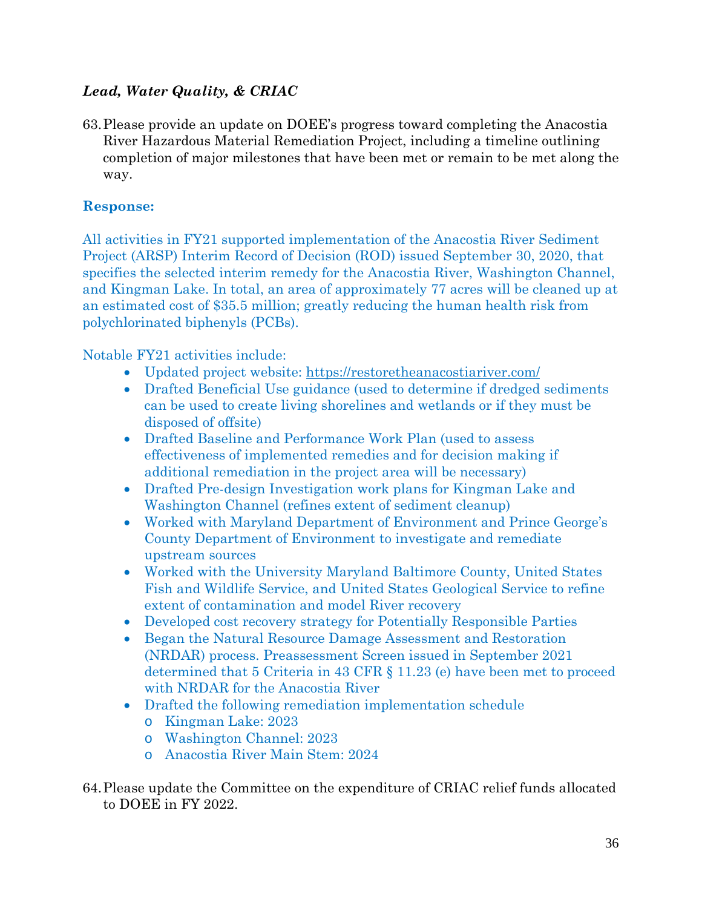# *Lead, Water Quality, & CRIAC*

63.Please provide an update on DOEE's progress toward completing the Anacostia River Hazardous Material Remediation Project, including a timeline outlining completion of major milestones that have been met or remain to be met along the way.

## **Response:**

All activities in FY21 supported implementation of the Anacostia River Sediment Project (ARSP) Interim Record of Decision (ROD) issued September 30, 2020, that specifies the selected interim remedy for the Anacostia River, Washington Channel, and Kingman Lake. In total, an area of approximately 77 acres will be cleaned up at an estimated cost of \$35.5 million; greatly reducing the human health risk from polychlorinated biphenyls (PCBs).

Notable FY21 activities include:

- Updated project website:<https://restoretheanacostiariver.com/>
- Drafted Beneficial Use guidance (used to determine if dredged sediments can be used to create living shorelines and wetlands or if they must be disposed of offsite)
- Drafted Baseline and Performance Work Plan (used to assess effectiveness of implemented remedies and for decision making if additional remediation in the project area will be necessary)
- Drafted Pre-design Investigation work plans for Kingman Lake and Washington Channel (refines extent of sediment cleanup)
- Worked with Maryland Department of Environment and Prince George's County Department of Environment to investigate and remediate upstream sources
- Worked with the University Maryland Baltimore County, United States Fish and Wildlife Service, and United States Geological Service to refine extent of contamination and model River recovery
- Developed cost recovery strategy for Potentially Responsible Parties
- Began the Natural Resource Damage Assessment and Restoration (NRDAR) process. Preassessment Screen issued in September 2021 determined that 5 Criteria in 43 CFR § 11.23 (e) have been met to proceed with NRDAR for the Anacostia River
- Drafted the following remediation implementation schedule
	- o Kingman Lake: 2023
	- o Washington Channel: 2023
	- o Anacostia River Main Stem: 2024
- 64.Please update the Committee on the expenditure of CRIAC relief funds allocated to DOEE in FY 2022.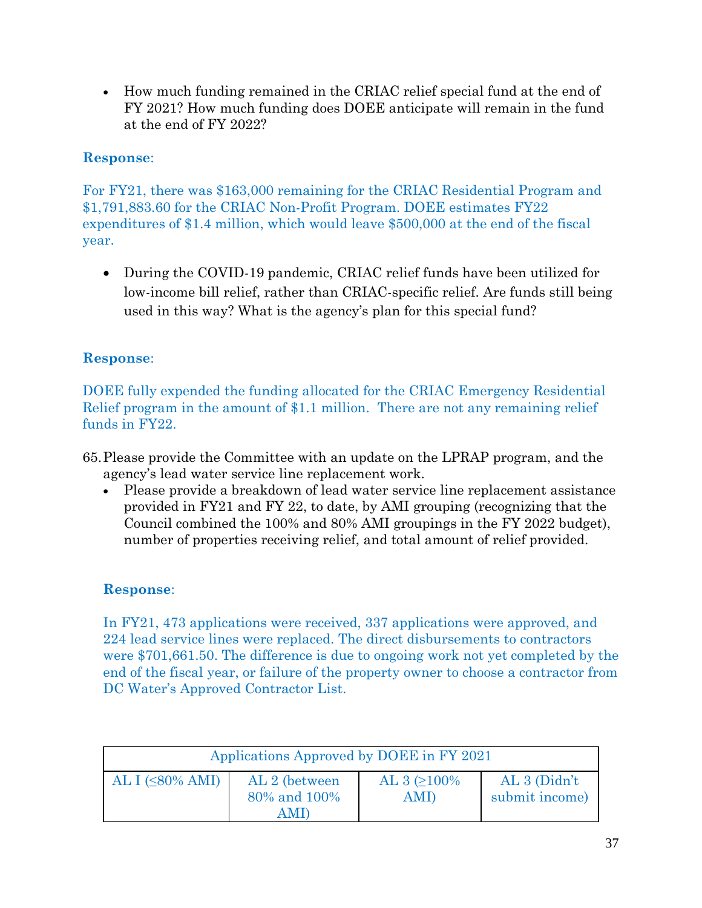• How much funding remained in the CRIAC relief special fund at the end of FY 2021? How much funding does DOEE anticipate will remain in the fund at the end of FY 2022?

# **Response**:

For FY21, there was \$163,000 remaining for the CRIAC Residential Program and \$1,791,883.60 for the CRIAC Non-Profit Program. DOEE estimates FY22 expenditures of \$1.4 million, which would leave \$500,000 at the end of the fiscal year.

• During the COVID-19 pandemic, CRIAC relief funds have been utilized for low-income bill relief, rather than CRIAC-specific relief. Are funds still being used in this way? What is the agency's plan for this special fund?

# **Response**:

DOEE fully expended the funding allocated for the CRIAC Emergency Residential Relief program in the amount of \$1.1 million. There are not any remaining relief funds in FY22.

- 65.Please provide the Committee with an update on the LPRAP program, and the agency's lead water service line replacement work.
	- Please provide a breakdown of lead water service line replacement assistance provided in FY21 and FY 22, to date, by AMI grouping (recognizing that the Council combined the 100% and 80% AMI groupings in the FY 2022 budget), number of properties receiving relief, and total amount of relief provided.

# **Response**:

In FY21, 473 applications were received, 337 applications were approved, and 224 lead service lines were replaced. The direct disbursements to contractors were \$701,661.50. The difference is due to ongoing work not yet completed by the end of the fiscal year, or failure of the property owner to choose a contractor from DC Water's Approved Contractor List.

| Applications Approved by DOEE in FY 2021                       |  |                           |                                 |  |  |
|----------------------------------------------------------------|--|---------------------------|---------------------------------|--|--|
| AL I $(\leq 80\%$ AMI)<br>AL 2 (between<br>80% and 100%<br>AMD |  | AL 3 $\geq 100\%$<br>AMI) | AL 3 (Didn't)<br>submit income) |  |  |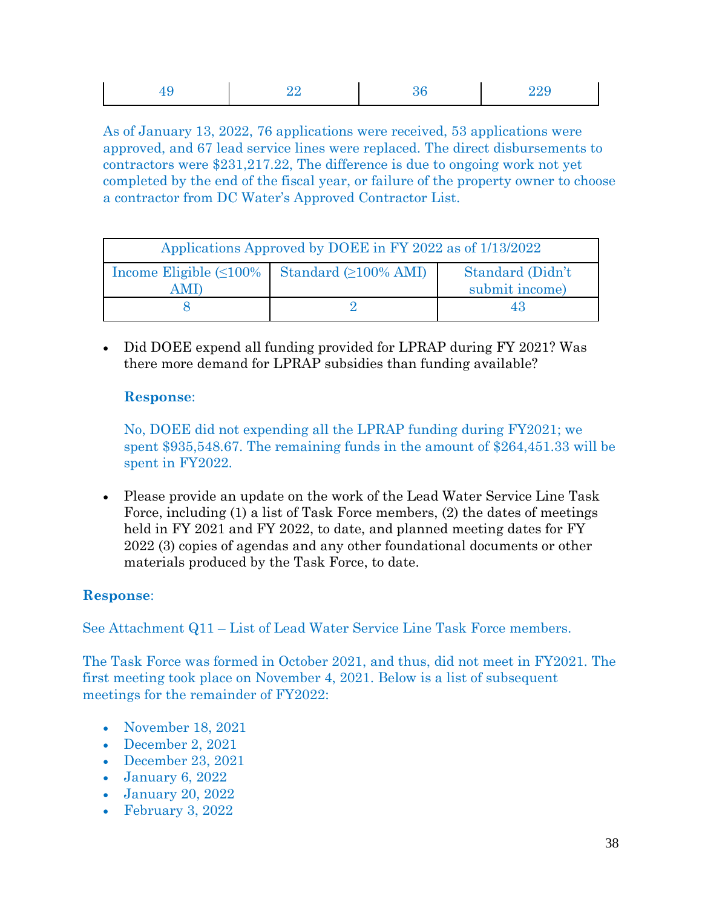|--|

As of January 13, 2022, 76 applications were received, 53 applications were approved, and 67 lead service lines were replaced. The direct disbursements to contractors were \$231,217.22, The difference is due to ongoing work not yet completed by the end of the fiscal year, or failure of the property owner to choose a contractor from DC Water's Approved Contractor List.

| Applications Approved by DOEE in FY 2022 as of 1/13/2022 |                                                             |                                    |  |  |  |
|----------------------------------------------------------|-------------------------------------------------------------|------------------------------------|--|--|--|
| . M L                                                    | Income Eligible $(\leq 100\%$   Standard $(\geq 100\%$ AMI) | Standard (Didn't<br>submit income) |  |  |  |
|                                                          |                                                             | 43                                 |  |  |  |

• Did DOEE expend all funding provided for LPRAP during FY 2021? Was there more demand for LPRAP subsidies than funding available?

#### **Response**:

No, DOEE did not expending all the LPRAP funding during FY2021; we spent \$935,548.67. The remaining funds in the amount of \$264,451.33 will be spent in FY2022.

• Please provide an update on the work of the Lead Water Service Line Task Force, including (1) a list of Task Force members, (2) the dates of meetings held in FY 2021 and FY 2022, to date, and planned meeting dates for FY 2022 (3) copies of agendas and any other foundational documents or other materials produced by the Task Force, to date.

## **Response**:

See Attachment Q11 – List of Lead Water Service Line Task Force members.

The Task Force was formed in October 2021, and thus, did not meet in FY2021. The first meeting took place on November 4, 2021. Below is a list of subsequent meetings for the remainder of FY2022:

- November 18, 2021
- December 2, 2021
- December 23, 2021
- January 6, 2022
- January 20, 2022
- February 3, 2022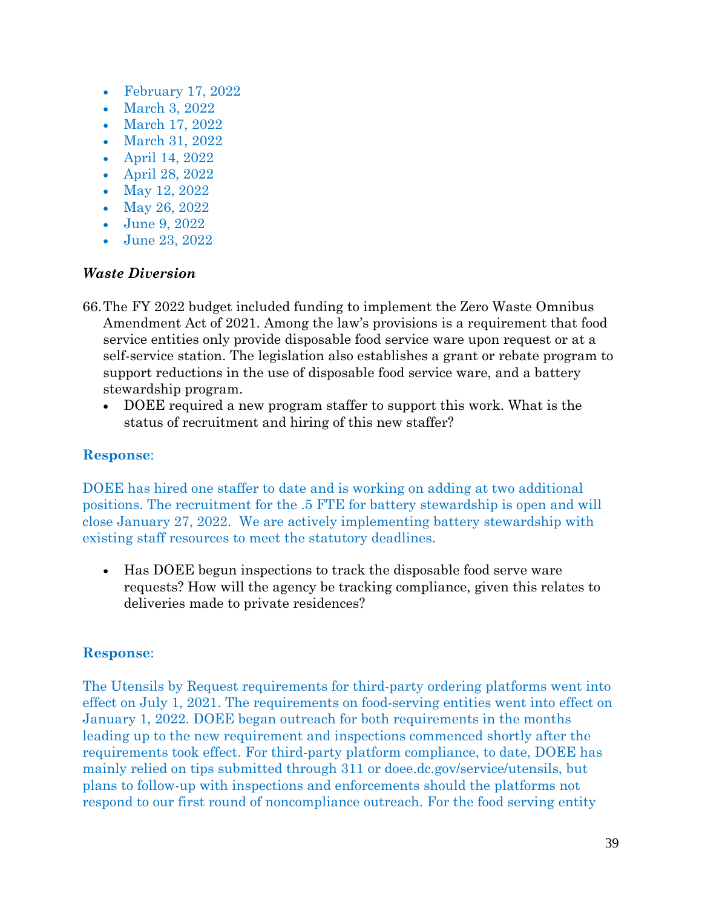- February 17, 2022
- March 3, 2022
- March 17, 2022
- March 31, 2022
- April 14, 2022
- April 28, 2022
- May 12, 2022
- May 26, 2022
- June 9, 2022
- June 23, 2022

#### *Waste Diversion*

- 66.The FY 2022 budget included funding to implement the Zero Waste Omnibus Amendment Act of 2021. Among the law's provisions is a requirement that food service entities only provide disposable food service ware upon request or at a self-service station. The legislation also establishes a grant or rebate program to support reductions in the use of disposable food service ware, and a battery stewardship program.
	- DOEE required a new program staffer to support this work. What is the status of recruitment and hiring of this new staffer?

#### **Response**:

DOEE has hired one staffer to date and is working on adding at two additional positions. The recruitment for the .5 FTE for battery stewardship is open and will close January 27, 2022. We are actively implementing battery stewardship with existing staff resources to meet the statutory deadlines.

• Has DOEE begun inspections to track the disposable food serve ware requests? How will the agency be tracking compliance, given this relates to deliveries made to private residences?

## **Response**:

The Utensils by Request requirements for third-party ordering platforms went into effect on July 1, 2021. The requirements on food-serving entities went into effect on January 1, 2022. DOEE began outreach for both requirements in the months leading up to the new requirement and inspections commenced shortly after the requirements took effect. For third-party platform compliance, to date, DOEE has mainly relied on tips submitted through 311 or doee.dc.gov/service/utensils, but plans to follow-up with inspections and enforcements should the platforms not respond to our first round of noncompliance outreach. For the food serving entity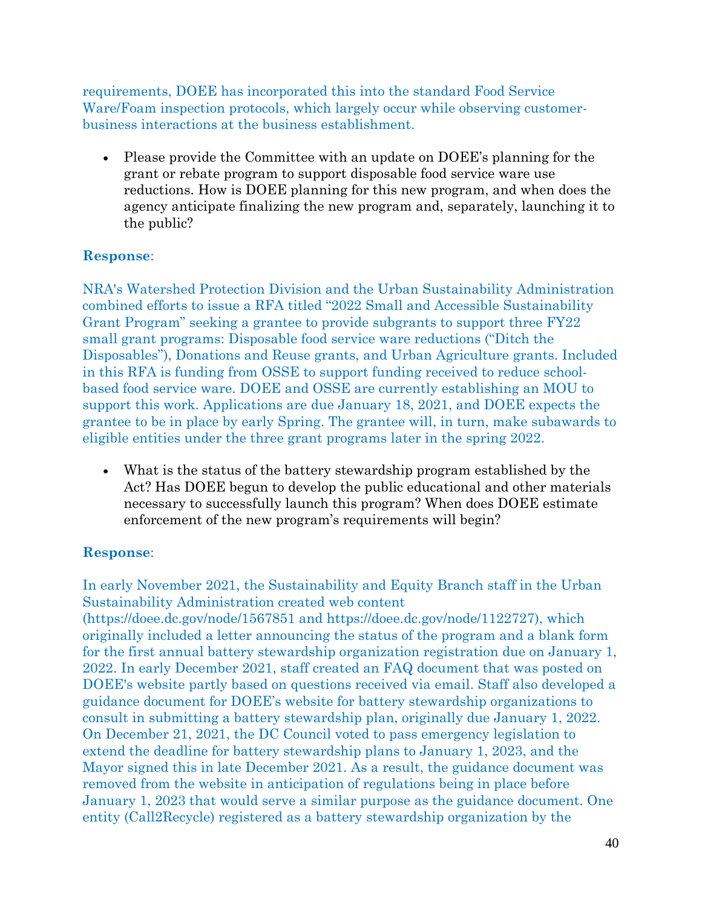requirements, DOEE has incorporated this into the standard Food Service Ware/Foam inspection protocols, which largely occur while observing customerbusiness interactions at the business establishment.

• Please provide the Committee with an update on DOEE's planning for the grant or rebate program to support disposable food service ware use reductions. How is DOEE planning for this new program, and when does the agency anticipate finalizing the new program and, separately, launching it to the public?

## **Response**:

NRA's Watershed Protection Division and the Urban Sustainability Administration combined efforts to issue a RFA titled "2022 Small and Accessible Sustainability Grant Program" seeking a grantee to provide subgrants to support three FY22 small grant programs: Disposable food service ware reductions ("Ditch the Disposables"), Donations and Reuse grants, and Urban Agriculture grants. Included in this RFA is funding from OSSE to support funding received to reduce schoolbased food service ware. DOEE and OSSE are currently establishing an MOU to support this work. Applications are due January 18, 2021, and DOEE expects the grantee to be in place by early Spring. The grantee will, in turn, make subawards to eligible entities under the three grant programs later in the spring 2022.

• What is the status of the battery stewardship program established by the Act? Has DOEE begun to develop the public educational and other materials necessary to successfully launch this program? When does DOEE estimate enforcement of the new program's requirements will begin?

## **Response**:

In early November 2021, the Sustainability and Equity Branch staff in the Urban Sustainability Administration created web content

(https://doee.dc.gov/node/1567851 and https://doee.dc.gov/node/1122727), which originally included a letter announcing the status of the program and a blank form for the first annual battery stewardship organization registration due on January 1, 2022. In early December 2021, staff created an FAQ document that was posted on DOEE's website partly based on questions received via email. Staff also developed a guidance document for DOEE's website for battery stewardship organizations to consult in submitting a battery stewardship plan, originally due January 1, 2022. On December 21, 2021, the DC Council voted to pass emergency legislation to extend the deadline for battery stewardship plans to January 1, 2023, and the Mayor signed this in late December 2021. As a result, the guidance document was removed from the website in anticipation of regulations being in place before January 1, 2023 that would serve a similar purpose as the guidance document. One entity (Call2Recycle) registered as a battery stewardship organization by the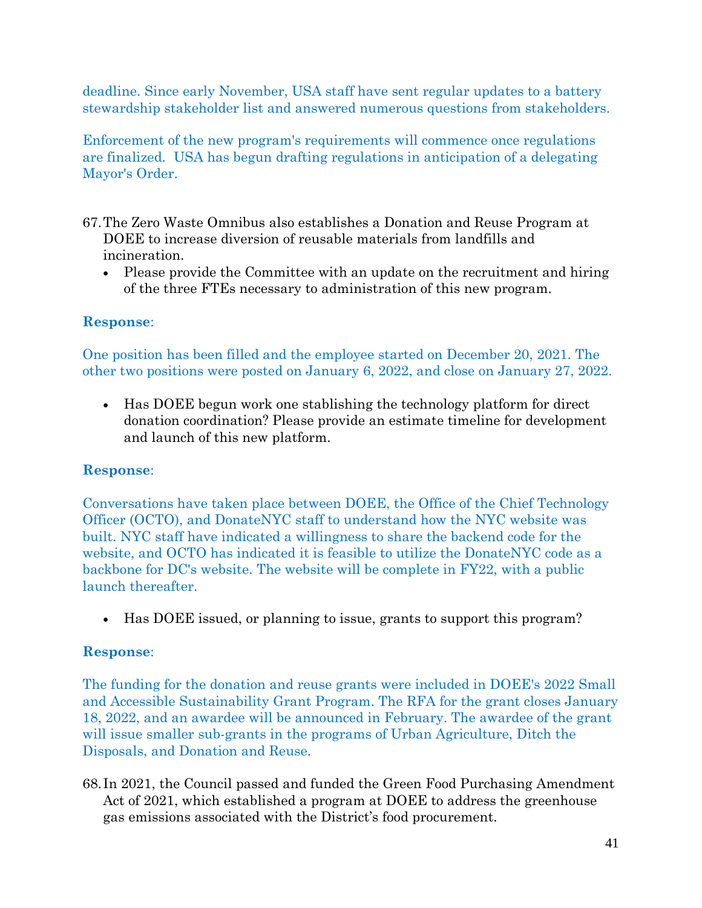deadline. Since early November, USA staff have sent regular updates to a battery stewardship stakeholder list and answered numerous questions from stakeholders.

Enforcement of the new program's requirements will commence once regulations are finalized. USA has begun drafting regulations in anticipation of a delegating Mayor's Order.

- 67.The Zero Waste Omnibus also establishes a Donation and Reuse Program at DOEE to increase diversion of reusable materials from landfills and incineration.
	- Please provide the Committee with an update on the recruitment and hiring of the three FTEs necessary to administration of this new program.

## **Response**:

One position has been filled and the employee started on December 20, 2021. The other two positions were posted on January 6, 2022, and close on January 27, 2022.

• Has DOEE begun work one stablishing the technology platform for direct donation coordination? Please provide an estimate timeline for development and launch of this new platform.

## **Response**:

Conversations have taken place between DOEE, the Office of the Chief Technology Officer (OCTO), and DonateNYC staff to understand how the NYC website was built. NYC staff have indicated a willingness to share the backend code for the website, and OCTO has indicated it is feasible to utilize the DonateNYC code as a backbone for DC's website. The website will be complete in FY22, with a public launch thereafter.

• Has DOEE issued, or planning to issue, grants to support this program?

# **Response**:

The funding for the donation and reuse grants were included in DOEE's 2022 Small and Accessible Sustainability Grant Program. The RFA for the grant closes January 18, 2022, and an awardee will be announced in February. The awardee of the grant will issue smaller sub-grants in the programs of Urban Agriculture, Ditch the Disposals, and Donation and Reuse.

68. In 2021, the Council passed and funded the Green Food Purchasing Amendment Act of 2021, which established a program at DOEE to address the greenhouse gas emissions associated with the District's food procurement.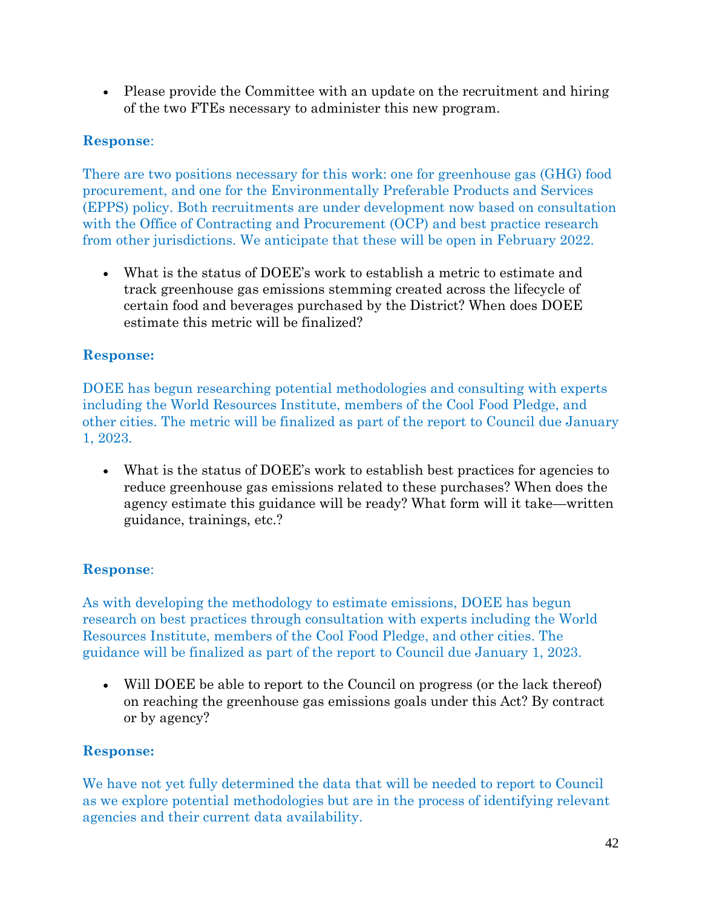• Please provide the Committee with an update on the recruitment and hiring of the two FTEs necessary to administer this new program.

# **Response**:

There are two positions necessary for this work: one for greenhouse gas (GHG) food procurement, and one for the Environmentally Preferable Products and Services (EPPS) policy. Both recruitments are under development now based on consultation with the Office of Contracting and Procurement (OCP) and best practice research from other jurisdictions. We anticipate that these will be open in February 2022.

• What is the status of DOEE's work to establish a metric to estimate and track greenhouse gas emissions stemming created across the lifecycle of certain food and beverages purchased by the District? When does DOEE estimate this metric will be finalized?

# **Response:**

DOEE has begun researching potential methodologies and consulting with experts including the World Resources Institute, members of the Cool Food Pledge, and other cities. The metric will be finalized as part of the report to Council due January 1, 2023.

• What is the status of DOEE's work to establish best practices for agencies to reduce greenhouse gas emissions related to these purchases? When does the agency estimate this guidance will be ready? What form will it take—written guidance, trainings, etc.?

# **Response**:

As with developing the methodology to estimate emissions, DOEE has begun research on best practices through consultation with experts including the World Resources Institute, members of the Cool Food Pledge, and other cities. The guidance will be finalized as part of the report to Council due January 1, 2023.

• Will DOEE be able to report to the Council on progress (or the lack thereof) on reaching the greenhouse gas emissions goals under this Act? By contract or by agency?

# **Response:**

We have not yet fully determined the data that will be needed to report to Council as we explore potential methodologies but are in the process of identifying relevant agencies and their current data availability.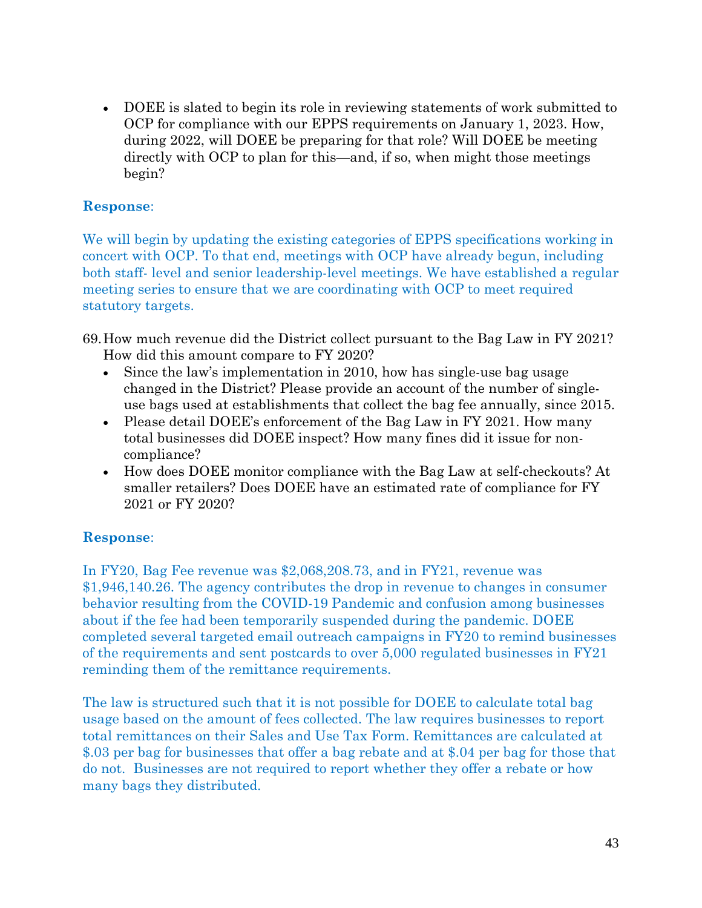• DOEE is slated to begin its role in reviewing statements of work submitted to OCP for compliance with our EPPS requirements on January 1, 2023. How, during 2022, will DOEE be preparing for that role? Will DOEE be meeting directly with OCP to plan for this—and, if so, when might those meetings begin?

## **Response**:

We will begin by updating the existing categories of EPPS specifications working in concert with OCP. To that end, meetings with OCP have already begun, including both staff- level and senior leadership-level meetings. We have established a regular meeting series to ensure that we are coordinating with OCP to meet required statutory targets.

69.How much revenue did the District collect pursuant to the Bag Law in FY 2021? How did this amount compare to FY 2020?

- Since the law's implementation in 2010, how has single-use bag usage changed in the District? Please provide an account of the number of singleuse bags used at establishments that collect the bag fee annually, since 2015.
- Please detail DOEE's enforcement of the Bag Law in FY 2021. How many total businesses did DOEE inspect? How many fines did it issue for noncompliance?
- How does DOEE monitor compliance with the Bag Law at self-checkouts? At smaller retailers? Does DOEE have an estimated rate of compliance for FY 2021 or FY 2020?

# **Response**:

In FY20, Bag Fee revenue was \$2,068,208.73, and in FY21, revenue was \$1,946,140.26. The agency contributes the drop in revenue to changes in consumer behavior resulting from the COVID-19 Pandemic and confusion among businesses about if the fee had been temporarily suspended during the pandemic. DOEE completed several targeted email outreach campaigns in FY20 to remind businesses of the requirements and sent postcards to over 5,000 regulated businesses in FY21 reminding them of the remittance requirements.

The law is structured such that it is not possible for DOEE to calculate total bag usage based on the amount of fees collected. The law requires businesses to report total remittances on their Sales and Use Tax Form. Remittances are calculated at \$.03 per bag for businesses that offer a bag rebate and at \$.04 per bag for those that do not. Businesses are not required to report whether they offer a rebate or how many bags they distributed.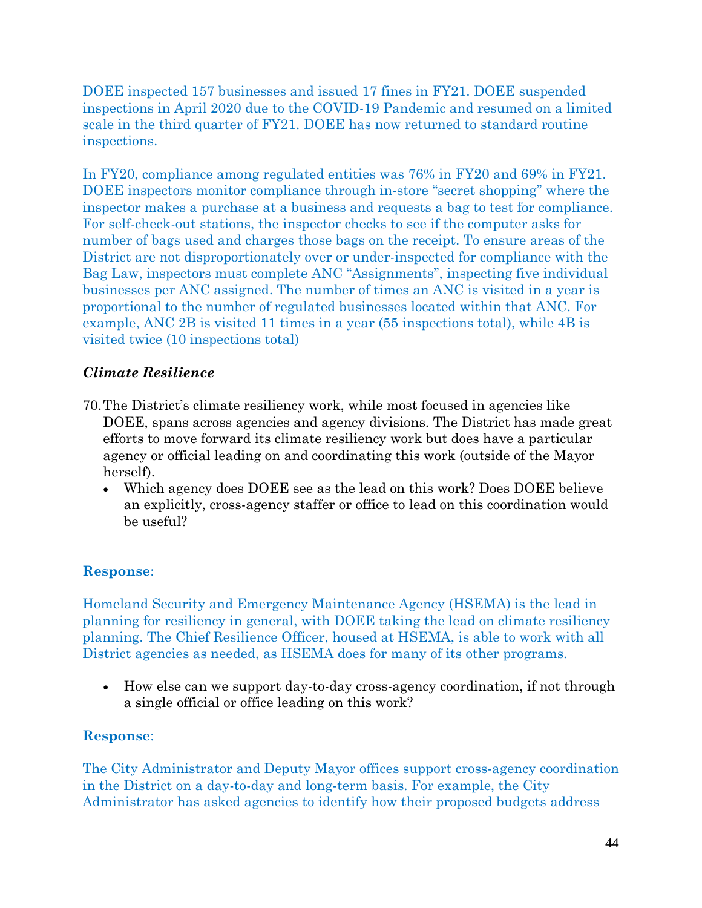DOEE inspected 157 businesses and issued 17 fines in FY21. DOEE suspended inspections in April 2020 due to the COVID-19 Pandemic and resumed on a limited scale in the third quarter of FY21. DOEE has now returned to standard routine inspections.

In FY20, compliance among regulated entities was 76% in FY20 and 69% in FY21. DOEE inspectors monitor compliance through in-store "secret shopping" where the inspector makes a purchase at a business and requests a bag to test for compliance. For self-check-out stations, the inspector checks to see if the computer asks for number of bags used and charges those bags on the receipt. To ensure areas of the District are not disproportionately over or under-inspected for compliance with the Bag Law, inspectors must complete ANC "Assignments", inspecting five individual businesses per ANC assigned. The number of times an ANC is visited in a year is proportional to the number of regulated businesses located within that ANC. For example, ANC 2B is visited 11 times in a year (55 inspections total), while 4B is visited twice (10 inspections total)

## *Climate Resilience*

- 70.The District's climate resiliency work, while most focused in agencies like DOEE, spans across agencies and agency divisions. The District has made great efforts to move forward its climate resiliency work but does have a particular agency or official leading on and coordinating this work (outside of the Mayor herself).
	- Which agency does DOEE see as the lead on this work? Does DOEE believe an explicitly, cross-agency staffer or office to lead on this coordination would be useful?

## **Response**:

Homeland Security and Emergency Maintenance Agency (HSEMA) is the lead in planning for resiliency in general, with DOEE taking the lead on climate resiliency planning. The Chief Resilience Officer, housed at HSEMA, is able to work with all District agencies as needed, as HSEMA does for many of its other programs.

• How else can we support day-to-day cross-agency coordination, if not through a single official or office leading on this work?

## **Response**:

The City Administrator and Deputy Mayor offices support cross-agency coordination in the District on a day-to-day and long-term basis. For example, the City Administrator has asked agencies to identify how their proposed budgets address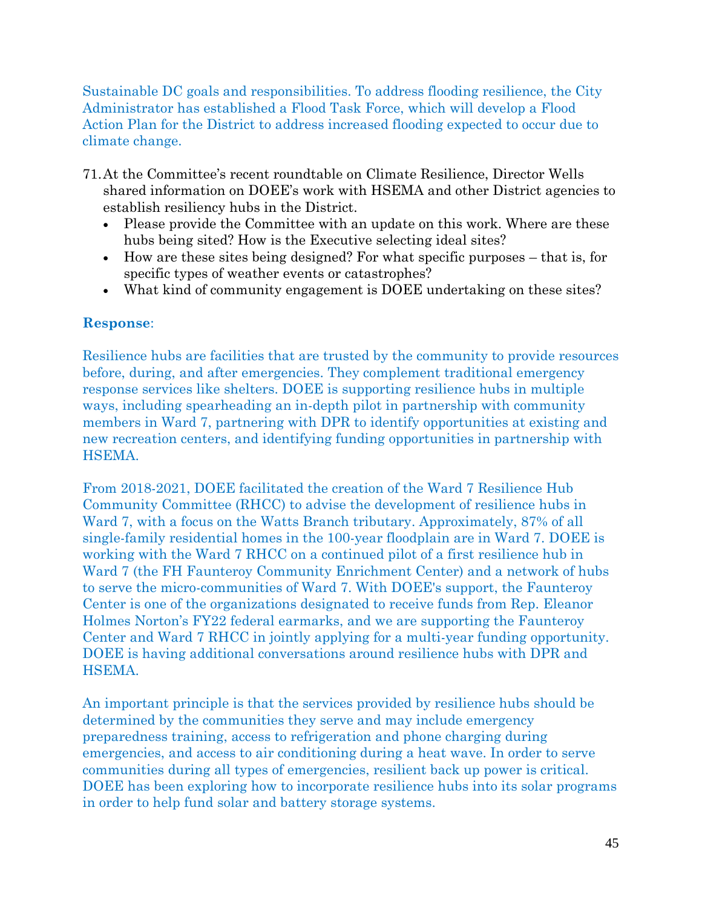Sustainable DC goals and responsibilities. To address flooding resilience, the City Administrator has established a Flood Task Force, which will develop a Flood Action Plan for the District to address increased flooding expected to occur due to climate change.

- 71.At the Committee's recent roundtable on Climate Resilience, Director Wells shared information on DOEE's work with HSEMA and other District agencies to establish resiliency hubs in the District.
	- Please provide the Committee with an update on this work. Where are these hubs being sited? How is the Executive selecting ideal sites?
	- How are these sites being designed? For what specific purposes that is, for specific types of weather events or catastrophes?
	- What kind of community engagement is DOEE undertaking on these sites?

## **Response**:

Resilience hubs are facilities that are trusted by the community to provide resources before, during, and after emergencies. They complement traditional emergency response services like shelters. DOEE is supporting resilience hubs in multiple ways, including spearheading an in-depth pilot in partnership with community members in Ward 7, partnering with DPR to identify opportunities at existing and new recreation centers, and identifying funding opportunities in partnership with HSEMA.

From 2018-2021, DOEE facilitated the creation of the Ward 7 Resilience Hub Community Committee (RHCC) to advise the development of resilience hubs in Ward 7, with a focus on the Watts Branch tributary. Approximately, 87% of all single-family residential homes in the 100-year floodplain are in Ward 7. DOEE is working with the Ward 7 RHCC on a continued pilot of a first resilience hub in Ward 7 (the FH Faunteroy Community Enrichment Center) and a network of hubs to serve the micro-communities of Ward 7. With DOEE's support, the Faunteroy Center is one of the organizations designated to receive funds from Rep. Eleanor Holmes Norton's FY22 federal earmarks, and we are supporting the Faunteroy Center and Ward 7 RHCC in jointly applying for a multi-year funding opportunity. DOEE is having additional conversations around resilience hubs with DPR and HSEMA.

An important principle is that the services provided by resilience hubs should be determined by the communities they serve and may include emergency preparedness training, access to refrigeration and phone charging during emergencies, and access to air conditioning during a heat wave. In order to serve communities during all types of emergencies, resilient back up power is critical. DOEE has been exploring how to incorporate resilience hubs into its solar programs in order to help fund solar and battery storage systems.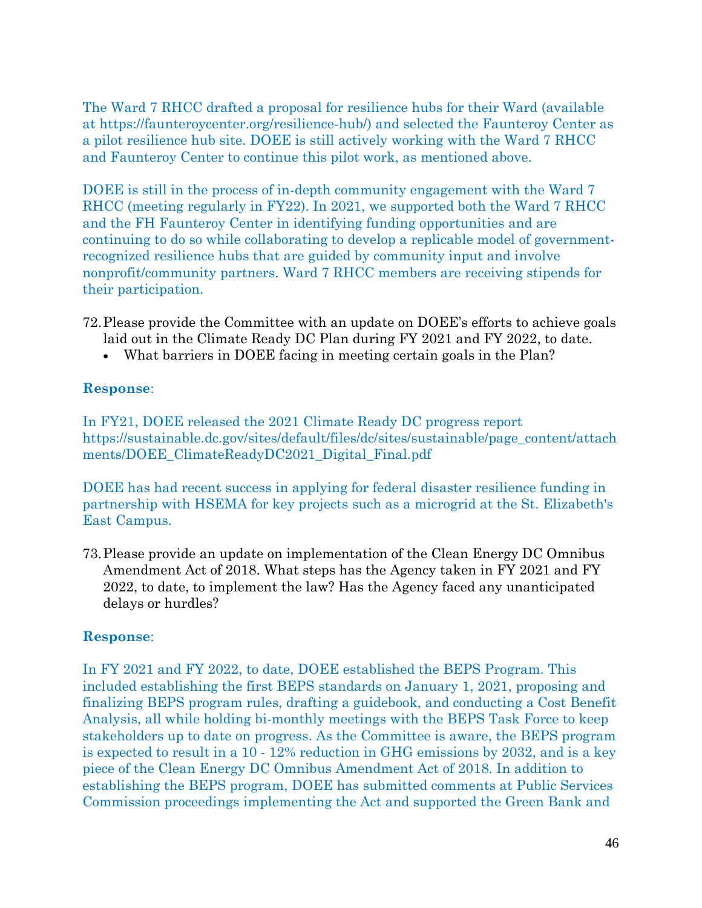The Ward 7 RHCC drafted a proposal for resilience hubs for their Ward (available at https://faunteroycenter.org/resilience-hub/) and selected the Faunteroy Center as a pilot resilience hub site. DOEE is still actively working with the Ward 7 RHCC and Faunteroy Center to continue this pilot work, as mentioned above.

DOEE is still in the process of in-depth community engagement with the Ward 7 RHCC (meeting regularly in FY22). In 2021, we supported both the Ward 7 RHCC and the FH Faunteroy Center in identifying funding opportunities and are continuing to do so while collaborating to develop a replicable model of governmentrecognized resilience hubs that are guided by community input and involve nonprofit/community partners. Ward 7 RHCC members are receiving stipends for their participation.

- 72.Please provide the Committee with an update on DOEE's efforts to achieve goals laid out in the Climate Ready DC Plan during FY 2021 and FY 2022, to date.
	- What barriers in DOEE facing in meeting certain goals in the Plan?

#### **Response**:

In FY21, DOEE released the 2021 Climate Ready DC progress report https://sustainable.dc.gov/sites/default/files/dc/sites/sustainable/page\_content/attach ments/DOEE\_ClimateReadyDC2021\_Digital\_Final.pdf

DOEE has had recent success in applying for federal disaster resilience funding in partnership with HSEMA for key projects such as a microgrid at the St. Elizabeth's East Campus.

73.Please provide an update on implementation of the Clean Energy DC Omnibus Amendment Act of 2018. What steps has the Agency taken in FY 2021 and FY 2022, to date, to implement the law? Has the Agency faced any unanticipated delays or hurdles?

## **Response**:

In FY 2021 and FY 2022, to date, DOEE established the BEPS Program. This included establishing the first BEPS standards on January 1, 2021, proposing and finalizing BEPS program rules, drafting a guidebook, and conducting a Cost Benefit Analysis, all while holding bi-monthly meetings with the BEPS Task Force to keep stakeholders up to date on progress. As the Committee is aware, the BEPS program is expected to result in a 10 - 12% reduction in GHG emissions by 2032, and is a key piece of the Clean Energy DC Omnibus Amendment Act of 2018. In addition to establishing the BEPS program, DOEE has submitted comments at Public Services Commission proceedings implementing the Act and supported the Green Bank and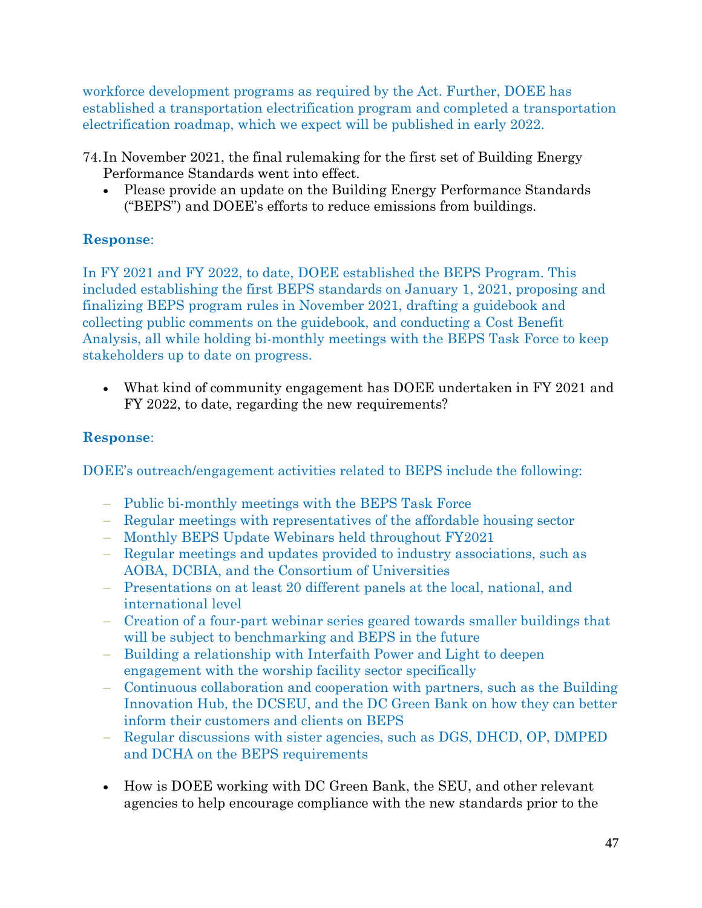workforce development programs as required by the Act. Further, DOEE has established a transportation electrification program and completed a transportation electrification roadmap, which we expect will be published in early 2022.

- 74. In November 2021, the final rulemaking for the first set of Building Energy Performance Standards went into effect.
	- Please provide an update on the Building Energy Performance Standards ("BEPS") and DOEE's efforts to reduce emissions from buildings.

## **Response**:

In FY 2021 and FY 2022, to date, DOEE established the BEPS Program. This included establishing the first BEPS standards on January 1, 2021, proposing and finalizing BEPS program rules in November 2021, drafting a guidebook and collecting public comments on the guidebook, and conducting a Cost Benefit Analysis, all while holding bi-monthly meetings with the BEPS Task Force to keep stakeholders up to date on progress.

• What kind of community engagement has DOEE undertaken in FY 2021 and FY 2022, to date, regarding the new requirements?

## **Response**:

DOEE's outreach/engagement activities related to BEPS include the following:

- − Public bi-monthly meetings with the BEPS Task Force
- − Regular meetings with representatives of the affordable housing sector
- − Monthly BEPS Update Webinars held throughout FY2021
- − Regular meetings and updates provided to industry associations, such as AOBA, DCBIA, and the Consortium of Universities
- − Presentations on at least 20 different panels at the local, national, and international level
- − Creation of a four-part webinar series geared towards smaller buildings that will be subject to benchmarking and BEPS in the future
- − Building a relationship with Interfaith Power and Light to deepen engagement with the worship facility sector specifically
- − Continuous collaboration and cooperation with partners, such as the Building Innovation Hub, the DCSEU, and the DC Green Bank on how they can better inform their customers and clients on BEPS
- − Regular discussions with sister agencies, such as DGS, DHCD, OP, DMPED and DCHA on the BEPS requirements
- How is DOEE working with DC Green Bank, the SEU, and other relevant agencies to help encourage compliance with the new standards prior to the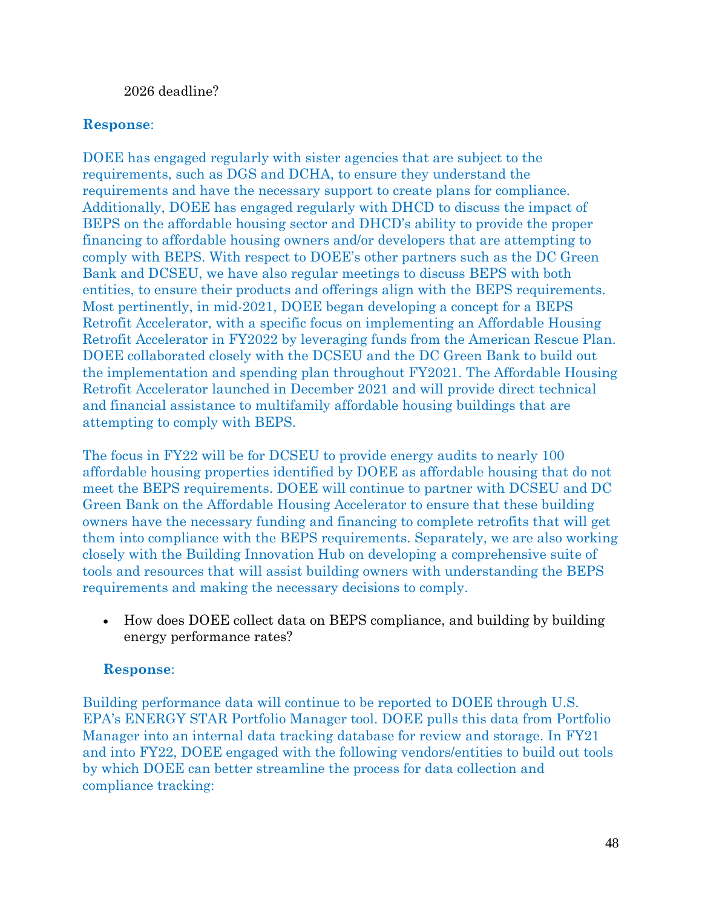#### 2026 deadline?

#### **Response**:

DOEE has engaged regularly with sister agencies that are subject to the requirements, such as DGS and DCHA, to ensure they understand the requirements and have the necessary support to create plans for compliance. Additionally, DOEE has engaged regularly with DHCD to discuss the impact of BEPS on the affordable housing sector and DHCD's ability to provide the proper financing to affordable housing owners and/or developers that are attempting to comply with BEPS. With respect to DOEE's other partners such as the DC Green Bank and DCSEU, we have also regular meetings to discuss BEPS with both entities, to ensure their products and offerings align with the BEPS requirements. Most pertinently, in mid-2021, DOEE began developing a concept for a BEPS Retrofit Accelerator, with a specific focus on implementing an Affordable Housing Retrofit Accelerator in FY2022 by leveraging funds from the American Rescue Plan. DOEE collaborated closely with the DCSEU and the DC Green Bank to build out the implementation and spending plan throughout FY2021. The Affordable Housing Retrofit Accelerator launched in December 2021 and will provide direct technical and financial assistance to multifamily affordable housing buildings that are attempting to comply with BEPS.

The focus in FY22 will be for DCSEU to provide energy audits to nearly 100 affordable housing properties identified by DOEE as affordable housing that do not meet the BEPS requirements. DOEE will continue to partner with DCSEU and DC Green Bank on the Affordable Housing Accelerator to ensure that these building owners have the necessary funding and financing to complete retrofits that will get them into compliance with the BEPS requirements. Separately, we are also working closely with the Building Innovation Hub on developing a comprehensive suite of tools and resources that will assist building owners with understanding the BEPS requirements and making the necessary decisions to comply.

• How does DOEE collect data on BEPS compliance, and building by building energy performance rates?

#### **Response**:

Building performance data will continue to be reported to DOEE through U.S. EPA's ENERGY STAR Portfolio Manager tool. DOEE pulls this data from Portfolio Manager into an internal data tracking database for review and storage. In FY21 and into FY22, DOEE engaged with the following vendors/entities to build out tools by which DOEE can better streamline the process for data collection and compliance tracking: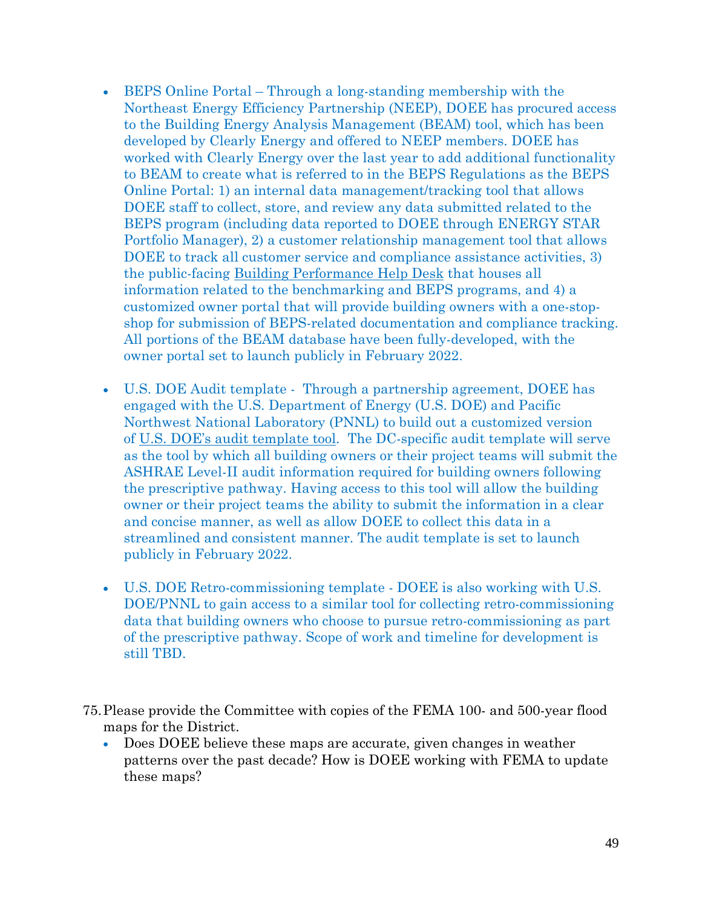- BEPS Online Portal Through a long-standing membership with the Northeast Energy Efficiency Partnership (NEEP), DOEE has procured access to the Building Energy Analysis Management (BEAM) tool, which has been developed by Clearly Energy and offered to NEEP members. DOEE has worked with Clearly Energy over the last year to add additional functionality to BEAM to create what is referred to in the BEPS Regulations as the BEPS Online Portal: 1) an internal data management/tracking tool that allows DOEE staff to collect, store, and review any data submitted related to the BEPS program (including data reported to DOEE through ENERGY STAR Portfolio Manager), 2) a customer relationship management tool that allows DOEE to track all customer service and compliance assistance activities, 3) the public-facing Building [Performance](https://dc.beam-portal.org/helpdesk/) Help Desk that houses all information related to the benchmarking and BEPS programs, and 4) a customized owner portal that will provide building owners with a one-stopshop for submission of BEPS-related documentation and compliance tracking. All portions of the BEAM database have been fully-developed, with the owner portal set to launch publicly in February 2022.
- U.S. DOE Audit template Through a partnership agreement, DOEE has engaged with the U.S. Department of Energy (U.S. DOE) and Pacific Northwest National Laboratory (PNNL) to build out a customized version of U.S. DOE's audit [template](https://www.energy.gov/eere/buildings/audit-template) tool. The DC-specific audit template will serve as the tool by which all building owners or their project teams will submit the ASHRAE Level-II audit information required for building owners following the prescriptive pathway. Having access to this tool will allow the building owner or their project teams the ability to submit the information in a clear and concise manner, as well as allow DOEE to collect this data in a streamlined and consistent manner. The audit template is set to launch publicly in February 2022.
- U.S. DOE Retro-commissioning template DOEE is also working with U.S. DOE/PNNL to gain access to a similar tool for collecting retro-commissioning data that building owners who choose to pursue retro-commissioning as part of the prescriptive pathway. Scope of work and timeline for development is still TBD.
- 75.Please provide the Committee with copies of the FEMA 100- and 500-year flood maps for the District.
	- Does DOEE believe these maps are accurate, given changes in weather patterns over the past decade? How is DOEE working with FEMA to update these maps?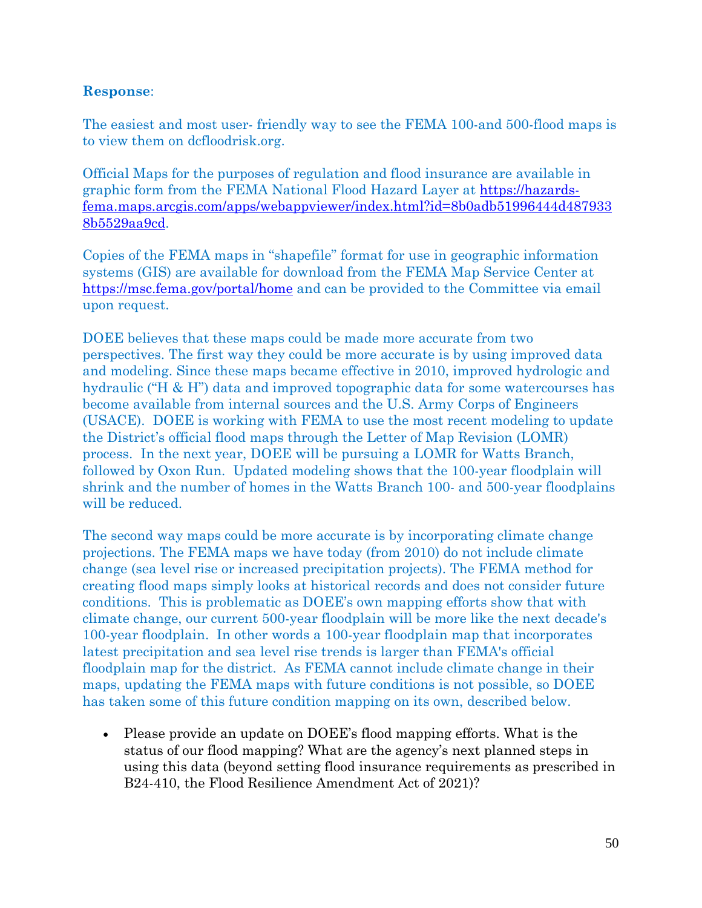The easiest and most user- friendly way to see the FEMA 100-and 500-flood maps is to view them on dcfloodrisk.org.

Official Maps for the purposes of regulation and flood insurance are available in graphic form from the FEMA National Flood Hazard Layer at [https://hazards](https://hazards-fema.maps.arcgis.com/apps/webappviewer/index.html?id=8b0adb51996444d4879338b5529aa9cd)[fema.maps.arcgis.com/apps/webappviewer/index.html?id=8b0adb51996444d487933](https://hazards-fema.maps.arcgis.com/apps/webappviewer/index.html?id=8b0adb51996444d4879338b5529aa9cd) [8b5529aa9cd.](https://hazards-fema.maps.arcgis.com/apps/webappviewer/index.html?id=8b0adb51996444d4879338b5529aa9cd)

Copies of the FEMA maps in "shapefile" format for use in geographic information systems (GIS) are available for download from the FEMA Map Service Center at <https://msc.fema.gov/portal/home> and can be provided to the Committee via email upon request.

DOEE believes that these maps could be made more accurate from two perspectives. The first way they could be more accurate is by using improved data and modeling. Since these maps became effective in 2010, improved hydrologic and hydraulic ("H & H") data and improved topographic data for some watercourses has become available from internal sources and the U.S. Army Corps of Engineers (USACE). DOEE is working with FEMA to use the most recent modeling to update the District's official flood maps through the Letter of Map Revision (LOMR) process. In the next year, DOEE will be pursuing a LOMR for Watts Branch, followed by Oxon Run. Updated modeling shows that the 100-year floodplain will shrink and the number of homes in the Watts Branch 100- and 500-year floodplains will be reduced.

The second way maps could be more accurate is by incorporating climate change projections. The FEMA maps we have today (from 2010) do not include climate change (sea level rise or increased precipitation projects). The FEMA method for creating flood maps simply looks at historical records and does not consider future conditions. This is problematic as DOEE's own mapping efforts show that with climate change, our current 500-year floodplain will be more like the next decade's 100-year floodplain. In other words a 100-year floodplain map that incorporates latest precipitation and sea level rise trends is larger than FEMA's official floodplain map for the district. As FEMA cannot include climate change in their maps, updating the FEMA maps with future conditions is not possible, so DOEE has taken some of this future condition mapping on its own, described below.

• Please provide an update on DOEE's flood mapping efforts. What is the status of our flood mapping? What are the agency's next planned steps in using this data (beyond setting flood insurance requirements as prescribed in B24-410, the Flood Resilience Amendment Act of 2021)?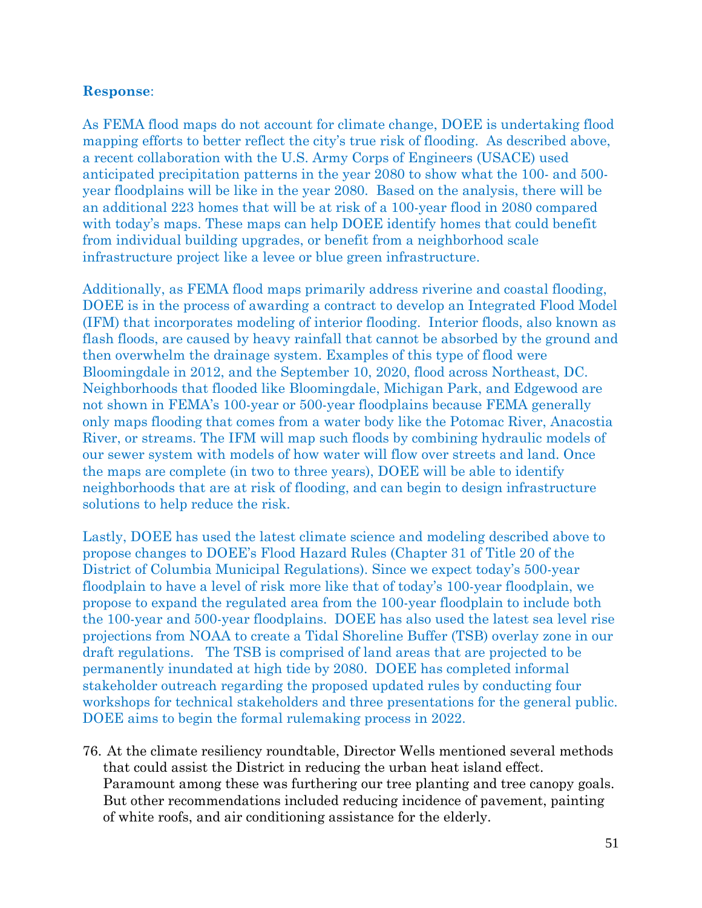As FEMA flood maps do not account for climate change, DOEE is undertaking flood mapping efforts to better reflect the city's true risk of flooding. As described above, a recent collaboration with the U.S. Army Corps of Engineers (USACE) used anticipated precipitation patterns in the year 2080 to show what the 100- and 500 year floodplains will be like in the year 2080. Based on the analysis, there will be an additional 223 homes that will be at risk of a 100-year flood in 2080 compared with today's maps. These maps can help DOEE identify homes that could benefit from individual building upgrades, or benefit from a neighborhood scale infrastructure project like a levee or blue green infrastructure.

Additionally, as FEMA flood maps primarily address riverine and coastal flooding, DOEE is in the process of awarding a contract to develop an Integrated Flood Model (IFM) that incorporates modeling of interior flooding. Interior floods, also known as flash floods, are caused by heavy rainfall that cannot be absorbed by the ground and then overwhelm the drainage system. Examples of this type of flood were Bloomingdale in 2012, and the September 10, 2020, flood across Northeast, DC. Neighborhoods that flooded like Bloomingdale, Michigan Park, and Edgewood are not shown in FEMA's 100-year or 500-year floodplains because FEMA generally only maps flooding that comes from a water body like the Potomac River, Anacostia River, or streams. The IFM will map such floods by combining hydraulic models of our sewer system with models of how water will flow over streets and land. Once the maps are complete (in two to three years), DOEE will be able to identify neighborhoods that are at risk of flooding, and can begin to design infrastructure solutions to help reduce the risk.

Lastly, DOEE has used the latest climate science and modeling described above to propose changes to DOEE's Flood Hazard Rules (Chapter 31 of Title 20 of the District of Columbia Municipal Regulations). Since we expect today's 500-year floodplain to have a level of risk more like that of today's 100-year floodplain, we propose to expand the regulated area from the 100-year floodplain to include both the 100-year and 500-year floodplains. DOEE has also used the latest sea level rise projections from NOAA to create a Tidal Shoreline Buffer (TSB) overlay zone in our draft regulations. The TSB is comprised of land areas that are projected to be permanently inundated at high tide by 2080. DOEE has completed informal stakeholder outreach regarding the proposed updated rules by conducting four workshops for technical stakeholders and three presentations for the general public. DOEE aims to begin the formal rulemaking process in 2022.

76. At the climate resiliency roundtable, Director Wells mentioned several methods that could assist the District in reducing the urban heat island effect. Paramount among these was furthering our tree planting and tree canopy goals. But other recommendations included reducing incidence of pavement, painting of white roofs, and air conditioning assistance for the elderly.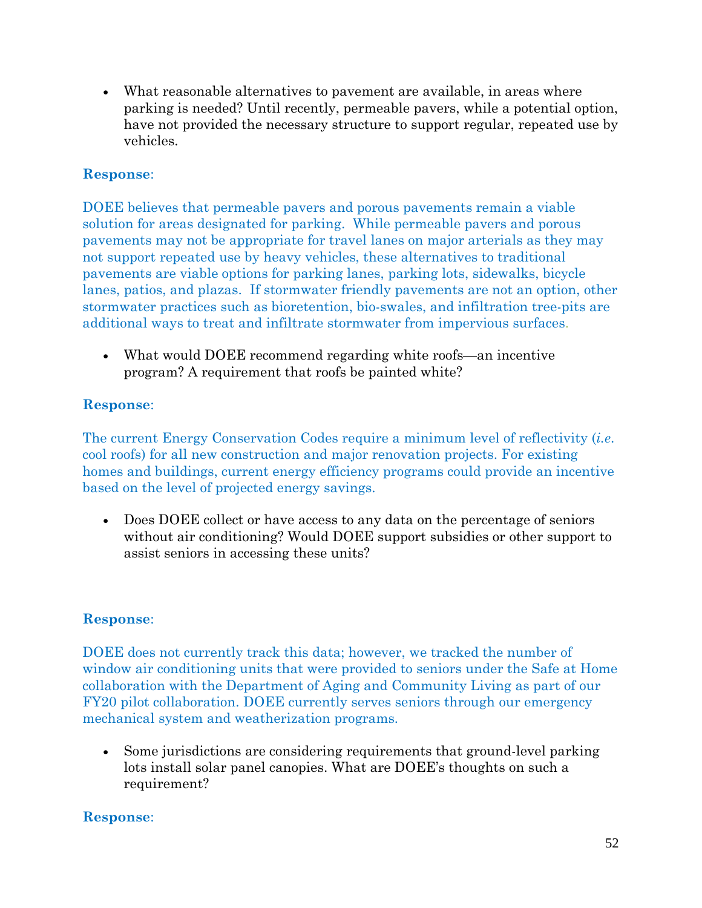• What reasonable alternatives to pavement are available, in areas where parking is needed? Until recently, permeable pavers, while a potential option, have not provided the necessary structure to support regular, repeated use by vehicles.

## **Response**:

DOEE believes that permeable pavers and porous pavements remain a viable solution for areas designated for parking. While permeable pavers and porous pavements may not be appropriate for travel lanes on major arterials as they may not support repeated use by heavy vehicles, these alternatives to traditional pavements are viable options for parking lanes, parking lots, sidewalks, bicycle lanes, patios, and plazas. If stormwater friendly pavements are not an option, other stormwater practices such as bioretention, bio-swales, and infiltration tree-pits are additional ways to treat and infiltrate stormwater from impervious surfaces.

• What would DOEE recommend regarding white roofs—an incentive program? A requirement that roofs be painted white?

## **Response**:

The current Energy Conservation Codes require a minimum level of reflectivity (*i.e*. cool roofs) for all new construction and major renovation projects. For existing homes and buildings, current energy efficiency programs could provide an incentive based on the level of projected energy savings.

• Does DOEE collect or have access to any data on the percentage of seniors without air conditioning? Would DOEE support subsidies or other support to assist seniors in accessing these units?

# **Response**:

DOEE does not currently track this data; however, we tracked the number of window air conditioning units that were provided to seniors under the Safe at Home collaboration with the Department of Aging and Community Living as part of our FY20 pilot collaboration. DOEE currently serves seniors through our emergency mechanical system and weatherization programs.

• Some jurisdictions are considering requirements that ground-level parking lots install solar panel canopies. What are DOEE's thoughts on such a requirement?

# **Response**: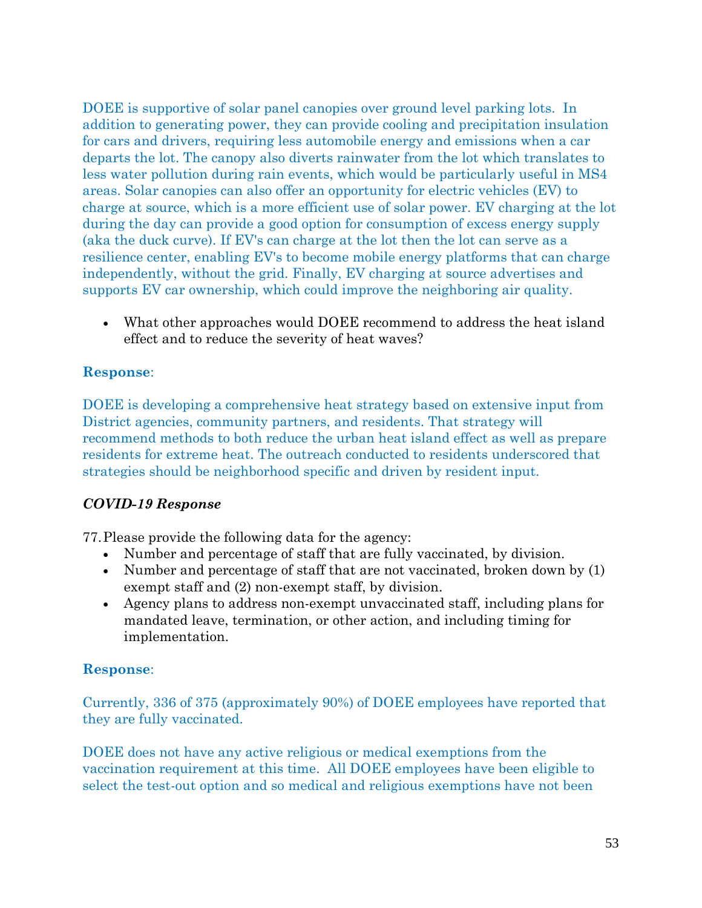DOEE is supportive of solar panel canopies over ground level parking lots. In addition to generating power, they can provide cooling and precipitation insulation for cars and drivers, requiring less automobile energy and emissions when a car departs the lot. The canopy also diverts rainwater from the lot which translates to less water pollution during rain events, which would be particularly useful in MS4 areas. Solar canopies can also offer an opportunity for electric vehicles (EV) to charge at source, which is a more efficient use of solar power. EV charging at the lot during the day can provide a good option for consumption of excess energy supply (aka the duck curve). If EV's can charge at the lot then the lot can serve as a resilience center, enabling EV's to become mobile energy platforms that can charge independently, without the grid. Finally, EV charging at source advertises and supports EV car ownership, which could improve the neighboring air quality.

• What other approaches would DOEE recommend to address the heat island effect and to reduce the severity of heat waves?

# **Response**:

DOEE is developing a comprehensive heat strategy based on extensive input from District agencies, community partners, and residents. That strategy will recommend methods to both reduce the urban heat island effect as well as prepare residents for extreme heat. The outreach conducted to residents underscored that strategies should be neighborhood specific and driven by resident input.

## *COVID-19 Response*

77.Please provide the following data for the agency:

- Number and percentage of staff that are fully vaccinated, by division.
- Number and percentage of staff that are not vaccinated, broken down by (1) exempt staff and (2) non-exempt staff, by division.
- Agency plans to address non-exempt unvaccinated staff, including plans for mandated leave, termination, or other action, and including timing for implementation.

## **Response**:

Currently, 336 of 375 (approximately 90%) of DOEE employees have reported that they are fully vaccinated.

DOEE does not have any active religious or medical exemptions from the vaccination requirement at this time. All DOEE employees have been eligible to select the test-out option and so medical and religious exemptions have not been